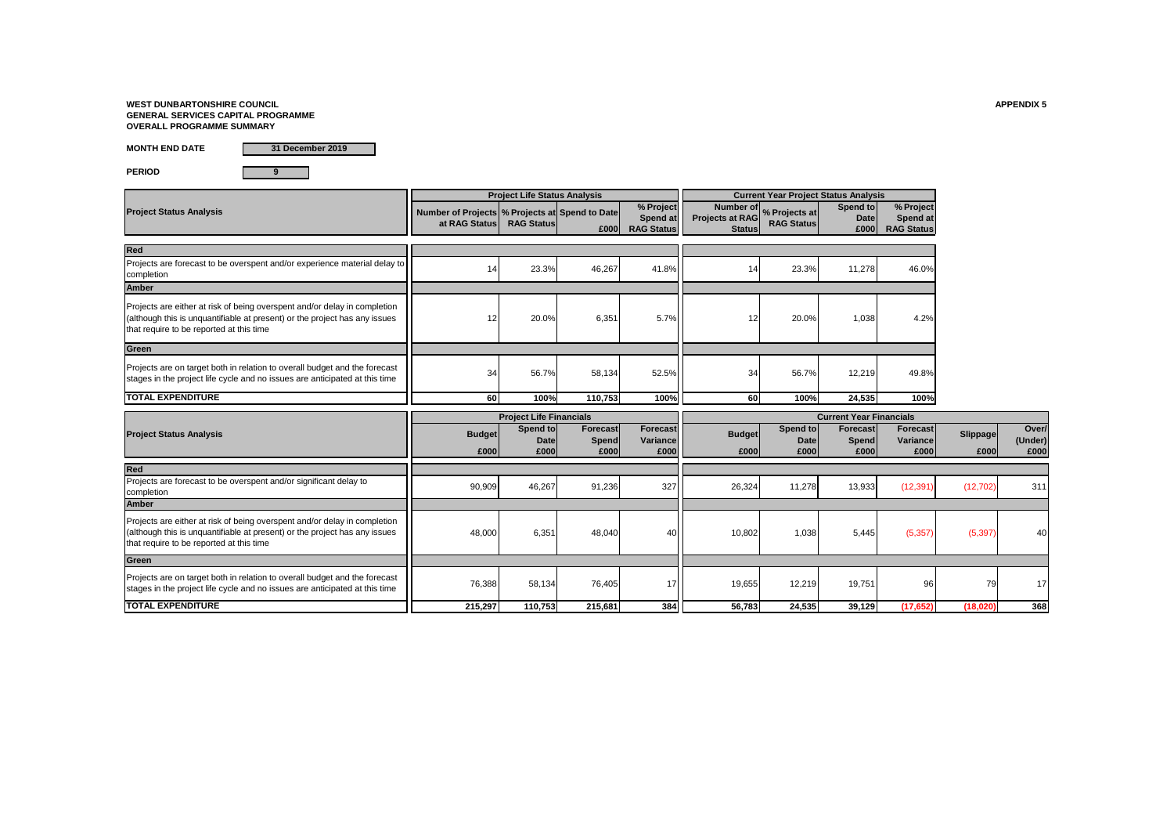# **WEST DUNBARTONSHIRE COUNCIL APPENDIX 5 GENERAL SERVICES CAPITAL PROGRAMME OVERALL PROGRAMME SUMMARY**

**MONTH END DATE**

**PERIOD 9**

|                                                                                                                                                                                                     |                                                                   | <b>Project Life Status Analysis</b> |                                  |                                                   |                                         |                                                  | <b>Current Year Project Status Analysis</b> |                                            |                  |                          |
|-----------------------------------------------------------------------------------------------------------------------------------------------------------------------------------------------------|-------------------------------------------------------------------|-------------------------------------|----------------------------------|---------------------------------------------------|-----------------------------------------|--------------------------------------------------|---------------------------------------------|--------------------------------------------|------------------|--------------------------|
| <b>Project Status Analysis</b>                                                                                                                                                                      | Number of Projects   % Projects at Spend to Date<br>at RAG Status | <b>RAG Status</b>                   | £000                             | % Project<br><b>Spend at</b><br><b>RAG Status</b> | <b>Projects at RAG</b><br><b>Status</b> | Number of   % Projects at  <br><b>RAG Status</b> | Spend to<br><b>Date</b><br>£000             | % Project<br>Spend at<br><b>RAG Status</b> |                  |                          |
| Red                                                                                                                                                                                                 |                                                                   |                                     |                                  |                                                   |                                         |                                                  |                                             |                                            |                  |                          |
| Projects are forecast to be overspent and/or experience material delay to<br>completion                                                                                                             |                                                                   | 23.3%                               | 46,267                           | 41.8%                                             | 14                                      | 23.3%                                            | 11,278                                      | 46.0%                                      |                  |                          |
| <b>Amber</b>                                                                                                                                                                                        |                                                                   |                                     |                                  |                                                   |                                         |                                                  |                                             |                                            |                  |                          |
| Projects are either at risk of being overspent and/or delay in completion<br>(although this is unquantifiable at present) or the project has any issues<br>that require to be reported at this time | 12                                                                | 20.0%                               | 6,351                            | 5.7%                                              | 12                                      | 20.0%                                            | 1,038                                       | 4.2%                                       |                  |                          |
| Green                                                                                                                                                                                               |                                                                   |                                     |                                  |                                                   |                                         |                                                  |                                             |                                            |                  |                          |
| Projects are on target both in relation to overall budget and the forecast<br>stages in the project life cycle and no issues are anticipated at this time                                           | 34                                                                | 56.7%                               | 58,134                           | 52.5%                                             | 34                                      | 56.7%                                            | 12,219                                      | 49.8%                                      |                  |                          |
| <b>TOTAL EXPENDITURE</b>                                                                                                                                                                            | 60                                                                | 100%                                | 110,753                          | 100%                                              | 60                                      | 100%                                             | 24,535                                      | 100%                                       |                  |                          |
|                                                                                                                                                                                                     |                                                                   | <b>Project Life Financials</b>      |                                  |                                                   |                                         |                                                  | <b>Current Year Financials</b>              |                                            |                  |                          |
| <b>Project Status Analysis</b>                                                                                                                                                                      | <b>Budget</b><br>£000                                             | Spend to<br>Date<br>£000            | <b>Forecast</b><br>Spend<br>£000 | <b>Forecast</b><br>Variance<br>£000               | <b>Budget</b><br>£000                   | Spend to<br><b>Date</b><br>£000                  | Forecast<br>Spend<br>£000                   | Forecast<br><b>Variance</b><br>£000        | Slippage<br>£000 | Over/<br>(Under)<br>£000 |
| Red                                                                                                                                                                                                 |                                                                   |                                     |                                  |                                                   |                                         |                                                  |                                             |                                            |                  |                          |
| Projects are forecast to be overspent and/or significant delay to<br>completion                                                                                                                     | 90,909                                                            | 46,267                              | 91,236                           | 327                                               | 26,324                                  | 11,278                                           | 13,933                                      | (12, 391)                                  | (12, 702)        | 311                      |
| <b>Amber</b>                                                                                                                                                                                        |                                                                   |                                     |                                  |                                                   |                                         |                                                  |                                             |                                            |                  |                          |
| Projects are either at risk of being overspent and/or delay in completion<br>(although this is unquantifiable at present) or the project has any issues<br>that require to be reported at this time | 48,000                                                            | 6,351                               | 48,040                           | 40                                                | 10,802                                  | 1,038                                            | 5,445                                       | (5, 357)                                   | (5, 397)         | 40                       |
| Green                                                                                                                                                                                               |                                                                   |                                     |                                  |                                                   |                                         |                                                  |                                             |                                            |                  |                          |
| Projects are on target both in relation to overall budget and the forecast<br>stages in the project life cycle and no issues are anticipated at this time                                           | 76,388                                                            | 58,134                              | 76,405                           | 17                                                | 19,655                                  | 12,219                                           | 19,751                                      | 96                                         | 79               | 17                       |
| <b>TOTAL EXPENDITURE</b>                                                                                                                                                                            | 215,297                                                           | 110,753                             | 215,681                          | 384                                               | 56,783                                  | 24,535                                           | 39,129                                      | (17, 652)                                  | (18, 020)        | 368                      |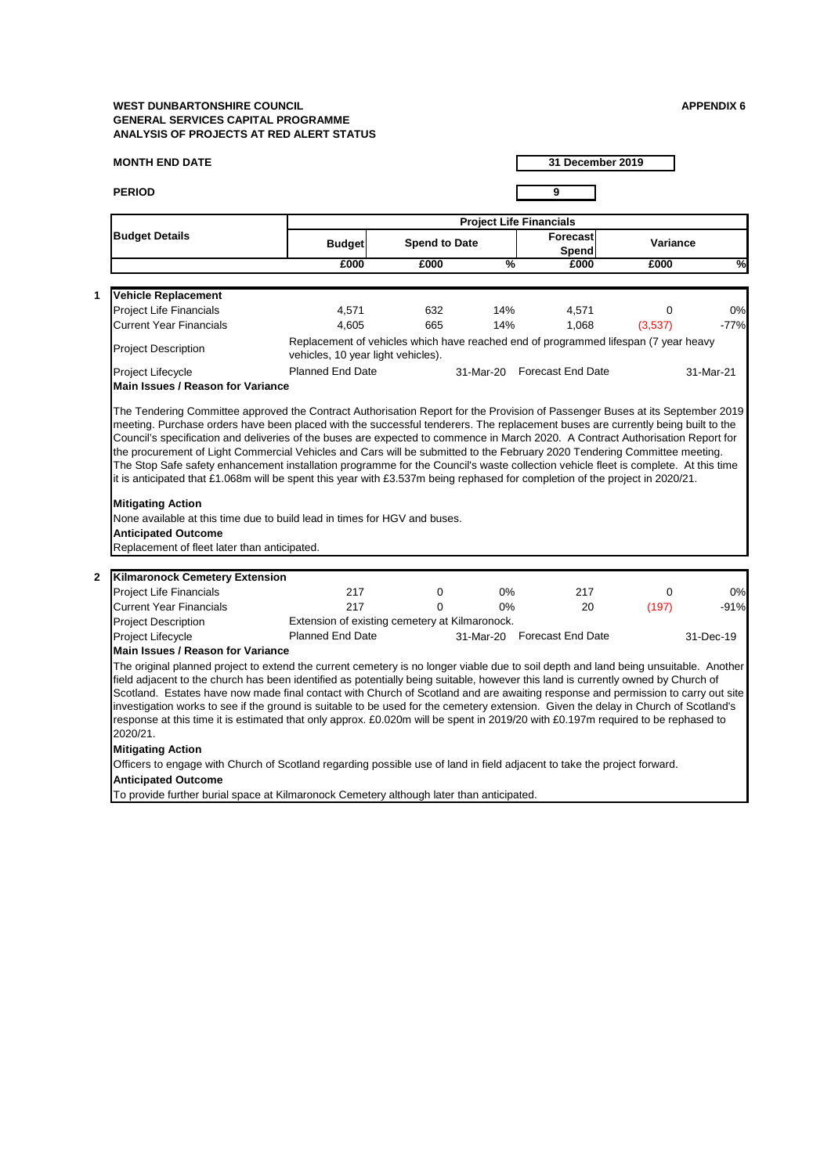# **MONTH END DATE**

**PERIOD 9**

|                  |                                                                                                                                                                                                                                                                                                                                                                                                                                                                                                                                                                                                                                                                                                      |                                                                                          |                      |               | <b>Project Life Financials</b>                                                      |                 |           |
|------------------|------------------------------------------------------------------------------------------------------------------------------------------------------------------------------------------------------------------------------------------------------------------------------------------------------------------------------------------------------------------------------------------------------------------------------------------------------------------------------------------------------------------------------------------------------------------------------------------------------------------------------------------------------------------------------------------------------|------------------------------------------------------------------------------------------|----------------------|---------------|-------------------------------------------------------------------------------------|-----------------|-----------|
|                  | <b>Budget Details</b>                                                                                                                                                                                                                                                                                                                                                                                                                                                                                                                                                                                                                                                                                | <b>Budget</b>                                                                            | <b>Spend to Date</b> |               | Forecast<br>Spend                                                                   | <b>Variance</b> |           |
|                  |                                                                                                                                                                                                                                                                                                                                                                                                                                                                                                                                                                                                                                                                                                      | £000                                                                                     | £000                 | $\frac{9}{6}$ | £000                                                                                | £000            | %         |
|                  |                                                                                                                                                                                                                                                                                                                                                                                                                                                                                                                                                                                                                                                                                                      |                                                                                          |                      |               |                                                                                     |                 |           |
|                  | <b>Vehicle Replacement</b>                                                                                                                                                                                                                                                                                                                                                                                                                                                                                                                                                                                                                                                                           |                                                                                          |                      |               |                                                                                     |                 |           |
|                  | <b>Project Life Financials</b>                                                                                                                                                                                                                                                                                                                                                                                                                                                                                                                                                                                                                                                                       | 4,571                                                                                    | 632                  | 14%           | 4,571                                                                               | 0               | 0%        |
|                  | <b>Current Year Financials</b>                                                                                                                                                                                                                                                                                                                                                                                                                                                                                                                                                                                                                                                                       | 4,605                                                                                    | 665                  | 14%           | 1,068                                                                               | (3,537)         | $-77%$    |
|                  | <b>Project Description</b>                                                                                                                                                                                                                                                                                                                                                                                                                                                                                                                                                                                                                                                                           | vehicles, 10 year light vehicles).                                                       |                      |               | Replacement of vehicles which have reached end of programmed lifespan (7 year heavy |                 |           |
|                  | <b>Project Lifecycle</b>                                                                                                                                                                                                                                                                                                                                                                                                                                                                                                                                                                                                                                                                             | <b>Planned End Date</b>                                                                  |                      | 31-Mar-20     | <b>Forecast End Date</b>                                                            |                 | 31-Mar-21 |
|                  | <b>Main Issues / Reason for Variance</b>                                                                                                                                                                                                                                                                                                                                                                                                                                                                                                                                                                                                                                                             |                                                                                          |                      |               |                                                                                     |                 |           |
|                  | <b>Mitigating Action</b><br>None available at this time due to build lead in times for HGV and buses.<br><b>Anticipated Outcome</b><br>Replacement of fleet later than anticipated.                                                                                                                                                                                                                                                                                                                                                                                                                                                                                                                  |                                                                                          |                      |               |                                                                                     |                 |           |
| $\boldsymbol{2}$ | <b>Kilmaronock Cemetery Extension</b>                                                                                                                                                                                                                                                                                                                                                                                                                                                                                                                                                                                                                                                                |                                                                                          |                      |               |                                                                                     |                 |           |
|                  | <b>Project Life Financials</b>                                                                                                                                                                                                                                                                                                                                                                                                                                                                                                                                                                                                                                                                       | 217                                                                                      | 0                    | $0\%$         | 217                                                                                 | 0               | 0%        |
|                  | <b>Current Year Financials</b>                                                                                                                                                                                                                                                                                                                                                                                                                                                                                                                                                                                                                                                                       | 217                                                                                      | 0                    | 0%            | 20                                                                                  | (197)           | $-91%$    |
|                  | <b>Project Description</b>                                                                                                                                                                                                                                                                                                                                                                                                                                                                                                                                                                                                                                                                           | Extension of existing cemetery at Kilmaronock.                                           |                      |               |                                                                                     |                 |           |
|                  | <b>Project Lifecycle</b>                                                                                                                                                                                                                                                                                                                                                                                                                                                                                                                                                                                                                                                                             | <b>Planned End Date</b>                                                                  |                      |               | 31-Mar-20 Forecast End Date                                                         |                 | 31-Dec-19 |
|                  | <b>Main Issues / Reason for Variance</b>                                                                                                                                                                                                                                                                                                                                                                                                                                                                                                                                                                                                                                                             |                                                                                          |                      |               |                                                                                     |                 |           |
|                  | The original planned project to extend the current cemetery is no longer viable due to soil depth and land being unsuitable. Another<br>field adjacent to the church has been identified as potentially being suitable, however this land is currently owned by Church of<br>Scotland. Estates have now made final contact with Church of Scotland and are awaiting response and permission to carry out site<br>investigation works to see if the ground is suitable to be used for the cemetery extension. Given the delay in Church of Scotland's<br>response at this time it is estimated that only approx. £0.020m will be spent in 2019/20 with £0.197m required to be rephased to<br>2020/21. |                                                                                          |                      |               |                                                                                     |                 |           |
|                  | <b>Mitigating Action</b>                                                                                                                                                                                                                                                                                                                                                                                                                                                                                                                                                                                                                                                                             |                                                                                          |                      |               |                                                                                     |                 |           |
|                  | Officers to engage with Church of Scotland regarding possible use of land in field adjacent to take the project forward.                                                                                                                                                                                                                                                                                                                                                                                                                                                                                                                                                                             |                                                                                          |                      |               |                                                                                     |                 |           |
|                  | <b>Anticipated Outcome</b>                                                                                                                                                                                                                                                                                                                                                                                                                                                                                                                                                                                                                                                                           |                                                                                          |                      |               |                                                                                     |                 |           |
|                  |                                                                                                                                                                                                                                                                                                                                                                                                                                                                                                                                                                                                                                                                                                      | To provide further burial space at Kilmaronock Cemetery although later than anticipated. |                      |               |                                                                                     |                 |           |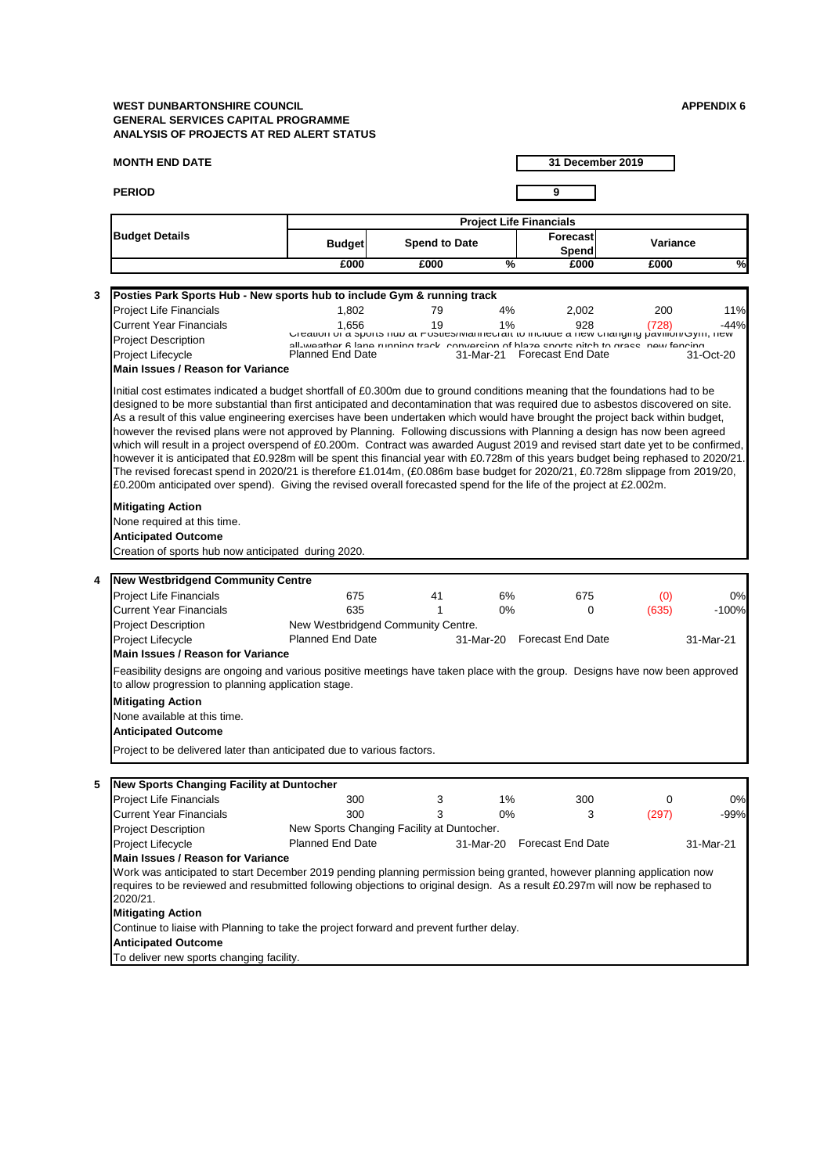**MONTH END DATE**

**31 December 2019**

#### **Anticipated Outcome**

To deliver new sports changing facility.

| 5 | New Sports Changing Facility at Duntocher                                                                                    |                                            |                             |     |       |           |
|---|------------------------------------------------------------------------------------------------------------------------------|--------------------------------------------|-----------------------------|-----|-------|-----------|
|   | <b>Project Life Financials</b>                                                                                               | 300                                        | $1\%$                       | 300 |       | 0%        |
|   | <b>Current Year Financials</b>                                                                                               | 300                                        | 0%                          | 3   | (297) | $-99%$    |
|   | <b>Project Description</b>                                                                                                   | New Sports Changing Facility at Duntocher. |                             |     |       |           |
|   | <b>Project Lifecycle</b>                                                                                                     | <b>Planned End Date</b>                    | 31-Mar-20 Forecast End Date |     |       | 31-Mar-21 |
|   | <b>IMain Issues / Reason for Variance</b>                                                                                    |                                            |                             |     |       |           |
|   | Work was anticipated to start December 2019 pending planning permission being granted, however planning application now      |                                            |                             |     |       |           |
|   | requires to be reviewed and resubmitted following objections to original design. As a result £0.297m will now be rephased to |                                            |                             |     |       |           |
|   | 2020/21.                                                                                                                     |                                            |                             |     |       |           |
|   | <b>Mitigating Action</b>                                                                                                     |                                            |                             |     |       |           |

Continue to liaise with Planning to take the project forward and prevent further delay.

# **PERIOD 9 Budget Forecast Spend to Date Variance Spend £000 £000 % £000 £000 % Budget Details Project Life Financials 3** Project Life Financials 1,802 79 4% 2,002 200 11% Current Year Financials 1,656 19 1% 928 (728) -44% Project Description Project Lifecycle 31-Mar-21 31-Oct-20 Planned End Date Forecast End Date **4** Project Life Financials **675** 675 41 6% 675 675 676 676 676 Current Year Financials **635** 635 1 0% 0 (635) -100% Project Description Project Lifecycle 31-Mar-20 31-Mar-21 Planned End Date Forecast End Date **Main Issues / Reason for Variance**  Feasibility designs are ongoing and various positive meetings have taken place with the group. Designs have now been approved to allow progression to planning application stage. **Mitigating Action** None available at this time. **Anticipated Outcome** Project to be delivered later than anticipated due to various factors. **New Westbridgend Community Centre**  New Westbridgend Community Centre. **Anticipated Outcome** Creation of sports hub now anticipated during 2020. **Main Issues / Reason for Variance**  Initial cost estimates indicated a budget shortfall of £0.300m due to ground conditions meaning that the foundations had to be designed to be more substantial than first anticipated and decontamination that was required due to asbestos discovered on site. As a result of this value engineering exercises have been undertaken which would have brought the project back within budget, however the revised plans were not approved by Planning. Following discussions with Planning a design has now been agreed which will result in a project overspend of £0.200m. Contract was awarded August 2019 and revised start date yet to be confirmed, however it is anticipated that £0.928m will be spent this financial year with £0.728m of this years budget being rephased to 2020/21. The revised forecast spend in 2020/21 is therefore £1.014m, (£0.086m base budget for 2020/21, £0.728m slippage from 2019/20, £0.200m anticipated over spend). Giving the revised overall forecasted spend for the life of the project at £2.002m. **Mitigating Action** None required at this time. **Posties Park Sports Hub - New sports hub to include Gym & running track** Creation of a sports hub at Posties/Mannecraft to include a new changing pavilion/Gym, new all-weather 6 lane running track conversion of blaze sports pitch to grass new fencing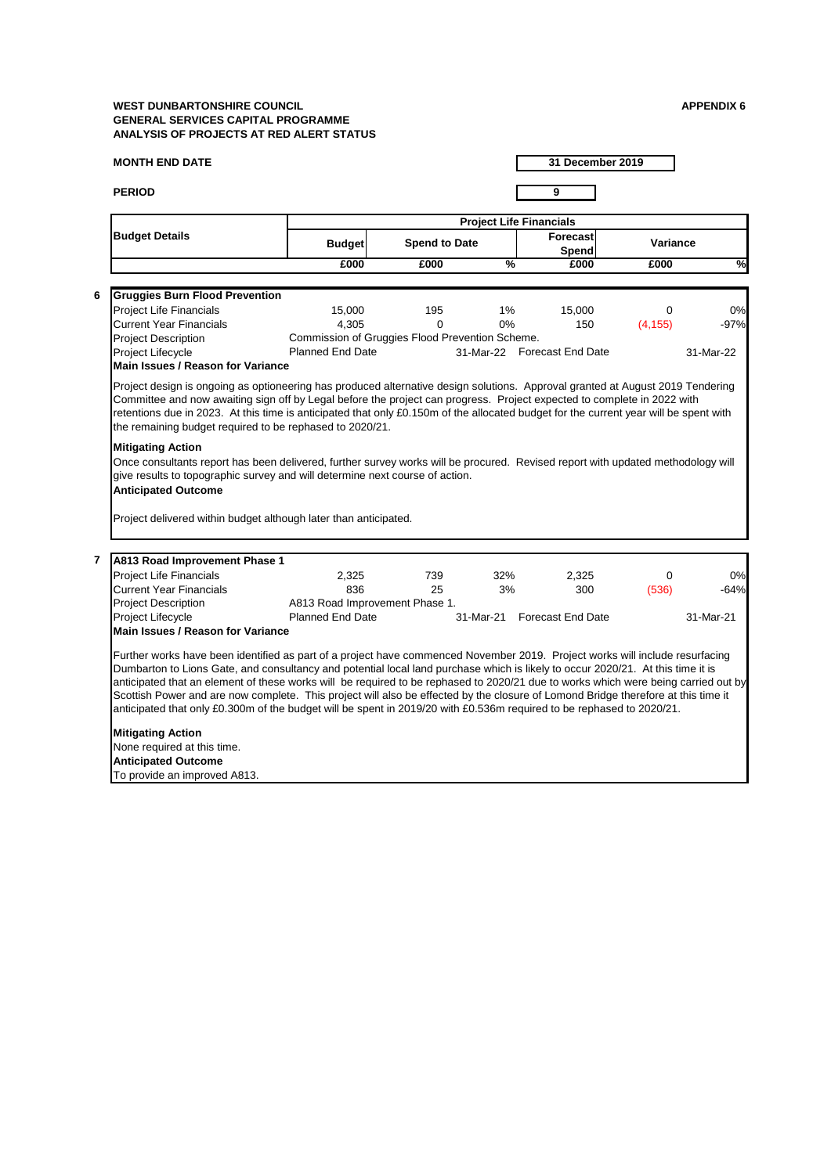# **MONTH END DATE**

#### **PERIOD 9**

|                                                          |                                                                                                                                                                                                                 |                      |               | <b>Project Life Financials</b> |                 |               |
|----------------------------------------------------------|-----------------------------------------------------------------------------------------------------------------------------------------------------------------------------------------------------------------|----------------------|---------------|--------------------------------|-----------------|---------------|
| <b>Budget Details</b>                                    | <b>Budget</b>                                                                                                                                                                                                   | <b>Spend to Date</b> |               | <b>Forecast</b><br>Spend       | <b>Variance</b> |               |
|                                                          | £000                                                                                                                                                                                                            | £000                 | $\frac{0}{6}$ | £000                           | £000            | $\frac{1}{2}$ |
| <b>Gruggies Burn Flood Prevention</b><br>6               |                                                                                                                                                                                                                 |                      |               |                                |                 |               |
| <b>Project Life Financials</b>                           | 15,000                                                                                                                                                                                                          | 195                  | $1\%$         | 15,000                         | 0               | 0%            |
| <b>Current Year Financials</b>                           | 4,305                                                                                                                                                                                                           | $\Omega$             | $0\%$         | 150                            | (4, 155)        | $-97%$        |
| <b>Project Description</b>                               | Commission of Gruggies Flood Prevention Scheme.                                                                                                                                                                 |                      |               |                                |                 |               |
| Project Lifecycle                                        | <b>Planned End Date</b>                                                                                                                                                                                         |                      |               | 31-Mar-22 Forecast End Date    |                 | 31-Mar-22     |
| <b>Main Issues / Reason for Variance</b>                 |                                                                                                                                                                                                                 |                      |               |                                |                 |               |
| <b>Mitigating Action</b>                                 | retentions due in 2023. At this time is anticipated that only £0.150m of the allocated budget for the current year will be spent with<br>the remaining budget required to be rephased to 2020/21.               |                      |               |                                |                 |               |
| <b>Anticipated Outcome</b>                               | Once consultants report has been delivered, further survey works will be procured. Revised report with updated methodology will<br>give results to topographic survey and will determine next course of action. |                      |               |                                |                 |               |
|                                                          | Project delivered within budget although later than anticipated.                                                                                                                                                |                      |               |                                |                 |               |
| $\overline{\mathbf{r}}$<br>A813 Road Improvement Phase 1 |                                                                                                                                                                                                                 |                      |               |                                |                 |               |
| <b>Project Life Financials</b>                           | 2,325                                                                                                                                                                                                           | 739                  | 32%           | 2,325                          | 0               | 0%            |
| <b>Current Year Financials</b>                           | 836                                                                                                                                                                                                             | 25                   | 3%            | 300                            | (536)           | $-64%$        |
| <b>Project Description</b>                               | A813 Road Improvement Phase 1.                                                                                                                                                                                  |                      |               |                                |                 |               |
| Project Lifecycle                                        | <b>Planned End Date</b>                                                                                                                                                                                         |                      |               | 31-Mar-21 Forecast End Date    |                 | 31-Mar-21     |
| <b>Main Issues / Reason for Variance</b>                 |                                                                                                                                                                                                                 |                      |               |                                |                 |               |
|                                                          | Further works have been identified as part of a project have commenced November 2019. Project works will include resurfacing                                                                                    |                      |               |                                |                 |               |
|                                                          | Dumbarton to Lions Gate, and consultancy and potential local land purchase which is likely to occur 2020/21. At this time it is                                                                                 |                      |               |                                |                 |               |
|                                                          | anticipated that an element of these works will be required to be rephased to 2020/21 due to works which were being carried out by                                                                              |                      |               |                                |                 |               |
|                                                          | Scottish Power and are now complete. This project will also be effected by the closure of Lomond Bridge therefore at this time it                                                                               |                      |               |                                |                 |               |
|                                                          | anticipated that only £0.300m of the budget will be spent in 2019/20 with £0.536m required to be rephased to 2020/21.                                                                                           |                      |               |                                |                 |               |
| <b>Mitigating Action</b>                                 |                                                                                                                                                                                                                 |                      |               |                                |                 |               |
| None required at this time.                              |                                                                                                                                                                                                                 |                      |               |                                |                 |               |
| <b>Anticipated Outcome</b>                               |                                                                                                                                                                                                                 |                      |               |                                |                 |               |
| To provide an improved A813.                             |                                                                                                                                                                                                                 |                      |               |                                |                 |               |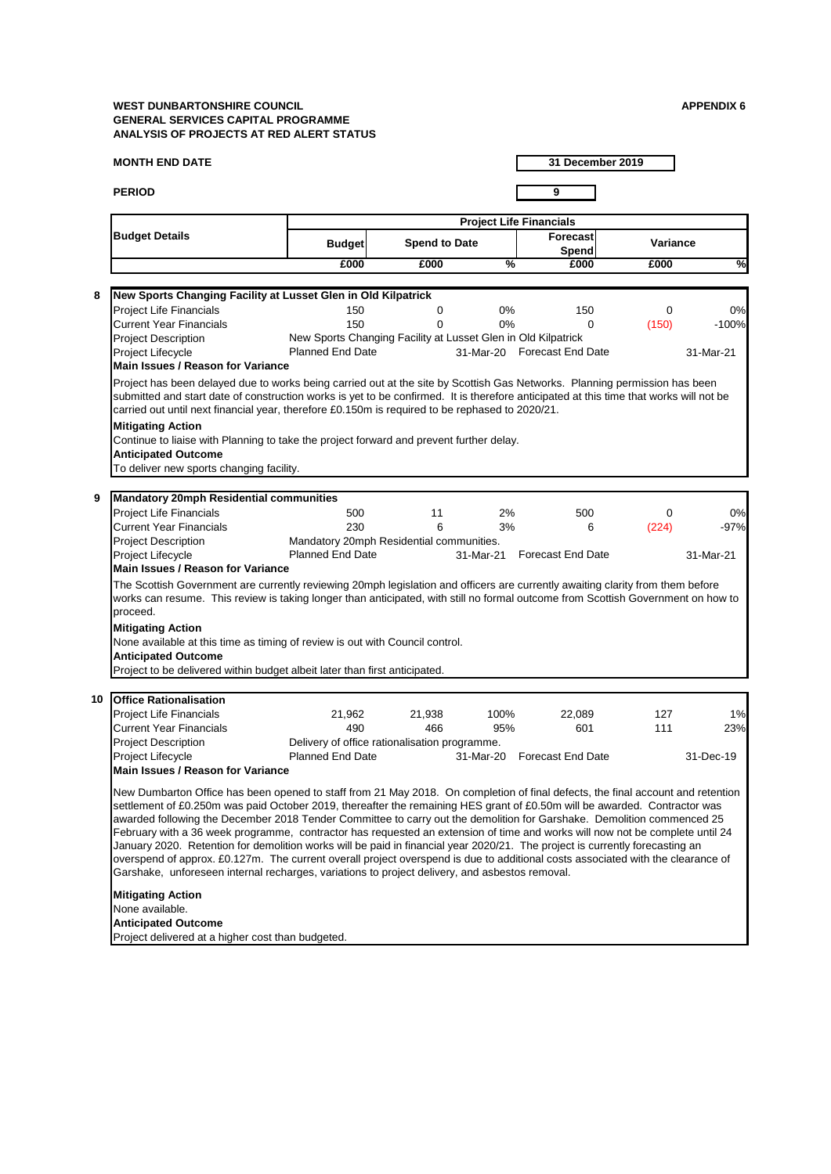#### **MONTH END DATE**

**PERIOD 9**

**31 December 2019**

#### **Anticipated Outcome**

Project delivered at a higher cost than budgeted.

awarded following the December 2018 Tender Committee to carry out the demolition for Garshake. Demolition commenced 25 February with a 36 week programme, contractor has requested an extension of time and works will now not be complete until 24 January 2020. Retention for demolition works will be paid in financial year 2020/21. The project is currently forecasting an overspend of approx. £0.127m. The current overall project overspend is due to additional costs associated with the clearance of Garshake, unforeseen internal recharges, variations to project delivery, and asbestos removal.

|    |                                                                                                                                                                                                                                                                                                                                                                                                                                                                                                        |                                                               |                      |               | <b>Project Life Financials</b> |                 |               |
|----|--------------------------------------------------------------------------------------------------------------------------------------------------------------------------------------------------------------------------------------------------------------------------------------------------------------------------------------------------------------------------------------------------------------------------------------------------------------------------------------------------------|---------------------------------------------------------------|----------------------|---------------|--------------------------------|-----------------|---------------|
|    | <b>Budget Details</b>                                                                                                                                                                                                                                                                                                                                                                                                                                                                                  | <b>Budget</b>                                                 | <b>Spend to Date</b> |               | Forecast<br><b>Spend</b>       | <b>Variance</b> |               |
|    |                                                                                                                                                                                                                                                                                                                                                                                                                                                                                                        | £000                                                          | £000                 | $\frac{9}{6}$ | £000                           | £000            | $\frac{8}{1}$ |
|    |                                                                                                                                                                                                                                                                                                                                                                                                                                                                                                        |                                                               |                      |               |                                |                 |               |
| 8  | New Sports Changing Facility at Lusset Glen in Old Kilpatrick                                                                                                                                                                                                                                                                                                                                                                                                                                          |                                                               |                      |               |                                |                 |               |
|    | <b>Project Life Financials</b>                                                                                                                                                                                                                                                                                                                                                                                                                                                                         | 150                                                           | 0                    | $0\%$         | 150                            | $\overline{0}$  | 0%            |
|    | <b>Current Year Financials</b>                                                                                                                                                                                                                                                                                                                                                                                                                                                                         | 150                                                           | 0                    | $0\%$         | $\mathbf 0$                    | (150)           | $-100%$       |
|    | <b>Project Description</b>                                                                                                                                                                                                                                                                                                                                                                                                                                                                             | New Sports Changing Facility at Lusset Glen in Old Kilpatrick |                      |               |                                |                 |               |
|    | <b>Project Lifecycle</b>                                                                                                                                                                                                                                                                                                                                                                                                                                                                               | <b>Planned End Date</b>                                       |                      |               | 31-Mar-20 Forecast End Date    |                 | 31-Mar-21     |
|    | Main Issues / Reason for Variance                                                                                                                                                                                                                                                                                                                                                                                                                                                                      |                                                               |                      |               |                                |                 |               |
|    | submitted and start date of construction works is yet to be confirmed. It is therefore anticipated at this time that works will not be<br>carried out until next financial year, therefore £0.150m is required to be rephased to 2020/21.<br><b>Mitigating Action</b><br>Continue to liaise with Planning to take the project forward and prevent further delay.<br><b>Anticipated Outcome</b><br>To deliver new sports changing facility.                                                             |                                                               |                      |               |                                |                 |               |
|    |                                                                                                                                                                                                                                                                                                                                                                                                                                                                                                        |                                                               |                      |               |                                |                 |               |
| 9  | <b>Mandatory 20mph Residential communities</b>                                                                                                                                                                                                                                                                                                                                                                                                                                                         |                                                               |                      |               |                                |                 |               |
|    | <b>Project Life Financials</b>                                                                                                                                                                                                                                                                                                                                                                                                                                                                         | 500                                                           | 11                   | 2%            | 500                            | 0               | 0%            |
|    | <b>Current Year Financials</b>                                                                                                                                                                                                                                                                                                                                                                                                                                                                         | 230                                                           | 6                    | 3%            | 6                              | (224)           | $-97%$        |
|    | <b>Project Description</b>                                                                                                                                                                                                                                                                                                                                                                                                                                                                             | Mandatory 20mph Residential communities.                      |                      |               |                                |                 |               |
|    | <b>Project Lifecycle</b>                                                                                                                                                                                                                                                                                                                                                                                                                                                                               | <b>Planned End Date</b>                                       |                      | 31-Mar-21     | <b>Forecast End Date</b>       |                 | 31-Mar-21     |
|    | Main Issues / Reason for Variance                                                                                                                                                                                                                                                                                                                                                                                                                                                                      |                                                               |                      |               |                                |                 |               |
|    | The Scottish Government are currently reviewing 20mph legislation and officers are currently awaiting clarity from them before<br>works can resume. This review is taking longer than anticipated, with still no formal outcome from Scottish Government on how to<br>proceed.<br><b>Mitigating Action</b><br>None available at this time as timing of review is out with Council control.<br><b>Anticipated Outcome</b><br>Project to be delivered within budget albeit later than first anticipated. |                                                               |                      |               |                                |                 |               |
|    |                                                                                                                                                                                                                                                                                                                                                                                                                                                                                                        |                                                               |                      |               |                                |                 |               |
| 10 | <b>Office Rationalisation</b>                                                                                                                                                                                                                                                                                                                                                                                                                                                                          |                                                               |                      |               |                                |                 |               |
|    | <b>Project Life Financials</b>                                                                                                                                                                                                                                                                                                                                                                                                                                                                         | 21,962                                                        | 21,938               | 100%          | 22,089                         | 127             | 1%            |
|    | <b>Current Year Financials</b>                                                                                                                                                                                                                                                                                                                                                                                                                                                                         | 490                                                           | 466                  | 95%           | 601                            | 111             | 23%           |
|    | <b>Project Description</b>                                                                                                                                                                                                                                                                                                                                                                                                                                                                             | Delivery of office rationalisation programme.                 |                      |               |                                |                 |               |
|    | <b>Project Lifecycle</b>                                                                                                                                                                                                                                                                                                                                                                                                                                                                               | <b>Planned End Date</b>                                       |                      | 31-Mar-20     | <b>Forecast End Date</b>       |                 | 31-Dec-19     |
|    | <b>Main Issues / Reason for Variance</b>                                                                                                                                                                                                                                                                                                                                                                                                                                                               |                                                               |                      |               |                                |                 |               |
|    | New Dumbarton Office has been opened to staff from 21 May 2018. On completion of final defects, the final account and retention<br>settlement of £0.250m was paid October 2019, thereafter the remaining HES grant of £0.50m will be awarded. Contractor was                                                                                                                                                                                                                                           |                                                               |                      |               |                                |                 |               |

#### **Mitigating Action**

None available.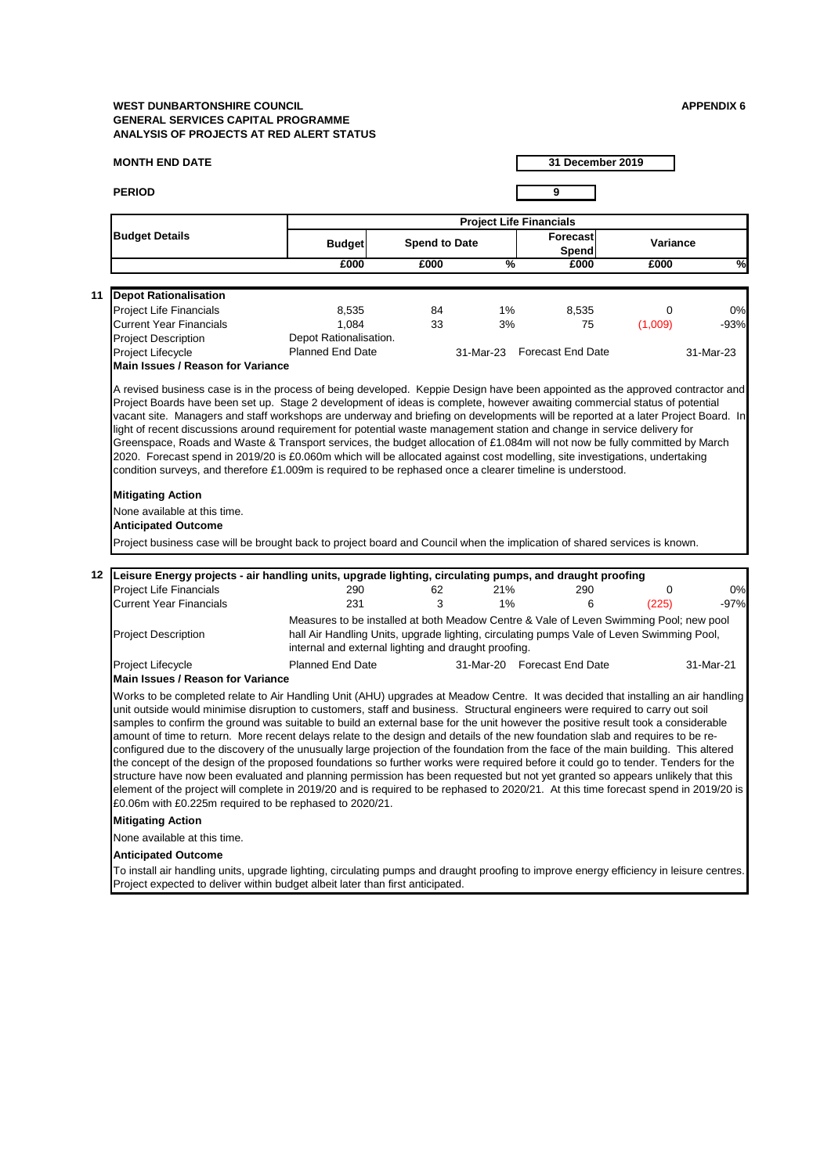#### **MONTH END DATE**

**PERIOD 9**

**31 December 2019**

#### **Mitigating Action**

None available at this time.

#### **Anticipated Outcome**

To install air handling units, upgrade lighting, circulating pumps and draught proofing to improve energy efficiency in leisure centres. Project expected to deliver within budget albeit later than first anticipated.

|                                                                                                                                                                                                                                                                                                                                                                                                                                                                                                                                                                                                 |                                                                                                                                                                                                                                             |                      |               | <b>Project Life Financials</b> |                 |               |
|-------------------------------------------------------------------------------------------------------------------------------------------------------------------------------------------------------------------------------------------------------------------------------------------------------------------------------------------------------------------------------------------------------------------------------------------------------------------------------------------------------------------------------------------------------------------------------------------------|---------------------------------------------------------------------------------------------------------------------------------------------------------------------------------------------------------------------------------------------|----------------------|---------------|--------------------------------|-----------------|---------------|
| <b>Budget Details</b>                                                                                                                                                                                                                                                                                                                                                                                                                                                                                                                                                                           | <b>Budget</b>                                                                                                                                                                                                                               | <b>Spend to Date</b> |               | Forecast<br><b>Spend</b>       | <b>Variance</b> |               |
|                                                                                                                                                                                                                                                                                                                                                                                                                                                                                                                                                                                                 | £000                                                                                                                                                                                                                                        | £000                 | $\frac{9}{6}$ | £000                           | £000            | $\frac{8}{1}$ |
| 11<br><b>Depot Rationalisation</b>                                                                                                                                                                                                                                                                                                                                                                                                                                                                                                                                                              |                                                                                                                                                                                                                                             |                      |               |                                |                 |               |
| <b>Project Life Financials</b>                                                                                                                                                                                                                                                                                                                                                                                                                                                                                                                                                                  | 8,535                                                                                                                                                                                                                                       | 84                   | $1\%$         | 8,535                          | 0               | 0%            |
| <b>Current Year Financials</b>                                                                                                                                                                                                                                                                                                                                                                                                                                                                                                                                                                  | 1,084                                                                                                                                                                                                                                       | 33                   | 3%            | 75                             | (1,009)         | $-93%$        |
| <b>Project Description</b>                                                                                                                                                                                                                                                                                                                                                                                                                                                                                                                                                                      | Depot Rationalisation.                                                                                                                                                                                                                      |                      |               |                                |                 |               |
| Project Lifecycle                                                                                                                                                                                                                                                                                                                                                                                                                                                                                                                                                                               | <b>Planned End Date</b>                                                                                                                                                                                                                     |                      |               | 31-Mar-23 Forecast End Date    |                 | 31-Mar-23     |
| <b>Main Issues / Reason for Variance</b>                                                                                                                                                                                                                                                                                                                                                                                                                                                                                                                                                        |                                                                                                                                                                                                                                             |                      |               |                                |                 |               |
| Greenspace, Roads and Waste & Transport services, the budget allocation of £1.084m will not now be fully committed by March<br>2020. Forecast spend in 2019/20 is £0.060m which will be allocated against cost modelling, site investigations, undertaking<br>condition surveys, and therefore £1.009m is required to be rephased once a clearer timeline is understood.<br><b>Mitigating Action</b><br>None available at this time.<br><b>Anticipated Outcome</b><br>Project business case will be brought back to project board and Council when the implication of shared services is known. |                                                                                                                                                                                                                                             |                      |               |                                |                 |               |
| 12<br>Leisure Energy projects - air handling units, upgrade lighting, circulating pumps, and draught proofing                                                                                                                                                                                                                                                                                                                                                                                                                                                                                   |                                                                                                                                                                                                                                             |                      |               |                                |                 |               |
| <b>Project Life Financials</b>                                                                                                                                                                                                                                                                                                                                                                                                                                                                                                                                                                  | 290                                                                                                                                                                                                                                         | 62                   | 21%           | 290                            | 0               | 0%            |
| <b>Current Year Financials</b>                                                                                                                                                                                                                                                                                                                                                                                                                                                                                                                                                                  | 231                                                                                                                                                                                                                                         | 3                    | 1%            | 6                              | (225)           | $-97%$        |
| <b>Project Description</b>                                                                                                                                                                                                                                                                                                                                                                                                                                                                                                                                                                      | Measures to be installed at both Meadow Centre & Vale of Leven Swimming Pool; new pool<br>hall Air Handling Units, upgrade lighting, circulating pumps Vale of Leven Swimming Pool,<br>internal and external lighting and draught proofing. |                      |               |                                |                 |               |
| <b>Project Lifecycle</b><br><b>Main Issues / Reason for Variance</b>                                                                                                                                                                                                                                                                                                                                                                                                                                                                                                                            | <b>Planned End Date</b>                                                                                                                                                                                                                     |                      |               | 31-Mar-20 Forecast End Date    |                 | 31-Mar-21     |
| Works to be completed relate to Air Handling Unit (AHU) upgrades at Meadow Centre. It was decided that installing an air handling<br>unit outside would minimise disruption to customers, staff and business. Structural engineers were required to carry out soil<br>samples to confirm the ground was suitable to build an external base for the unit however the positive result took a considerable<br>amount of time to return. More recent delays relate to the design and details of the new foundation slab and requires to be re-                                                      |                                                                                                                                                                                                                                             |                      |               |                                |                 |               |

configured due to the discovery of the unusually large projection of the foundation from the face of the main building. This altered the concept of the design of the proposed foundations so further works were required before it could go to tender. Tenders for the structure have now been evaluated and planning permission has been requested but not yet granted so appears unlikely that this element of the project will complete in 2019/20 and is required to be rephased to 2020/21. At this time forecast spend in 2019/20 is £0.06m with £0.225m required to be rephased to 2020/21.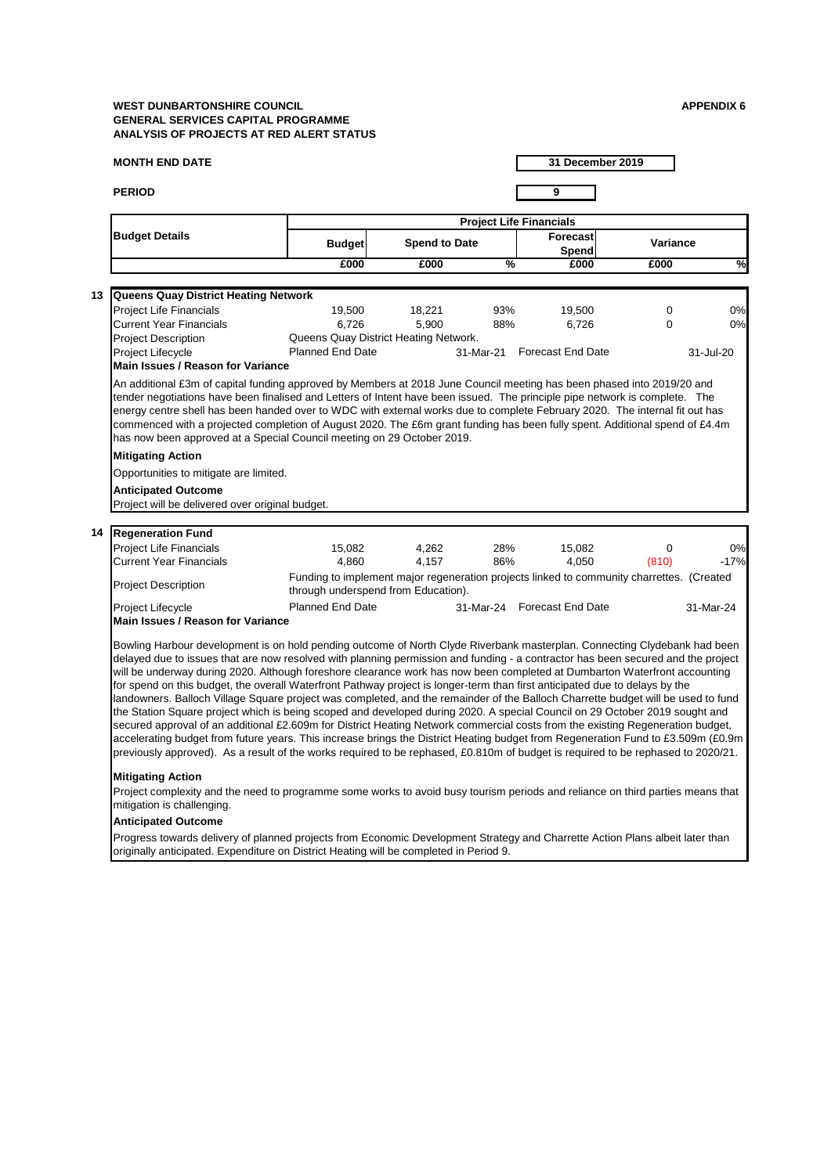#### **MONTH END DATE**

**PERIOD 9**

**31 December 2019**

Project complexity and the need to programme some works to avoid busy tourism periods and reliance on third parties means that mitigation is challenging.

Progress towards delivery of planned projects from Economic Development Strategy and Charrette Action Plans albeit later than originally anticipated. Expenditure on District Heating will be completed in Period 9.

# **Mitigating Action**

#### **Anticipated Outcome**

|                                                   |                                                                                                                                                                                                                                                                                                                                      |                                       |               | <b>Project Life Financials</b>                                                            |                 |               |
|---------------------------------------------------|--------------------------------------------------------------------------------------------------------------------------------------------------------------------------------------------------------------------------------------------------------------------------------------------------------------------------------------|---------------------------------------|---------------|-------------------------------------------------------------------------------------------|-----------------|---------------|
| <b>Budget Details</b>                             | <b>Budget</b>                                                                                                                                                                                                                                                                                                                        | <b>Spend to Date</b>                  |               | Forecast<br>Spend                                                                         | <b>Variance</b> |               |
|                                                   | £000                                                                                                                                                                                                                                                                                                                                 | £000                                  | $\frac{9}{6}$ | £000                                                                                      | £000            | $\frac{1}{2}$ |
|                                                   |                                                                                                                                                                                                                                                                                                                                      |                                       |               |                                                                                           |                 |               |
| <b>Queens Quay District Heating Network</b><br>13 |                                                                                                                                                                                                                                                                                                                                      |                                       |               |                                                                                           |                 |               |
| <b>Project Life Financials</b>                    | 19,500                                                                                                                                                                                                                                                                                                                               | 18,221                                | 93%           | 19,500                                                                                    | 0               | 0%            |
| <b>Current Year Financials</b>                    | 6,726                                                                                                                                                                                                                                                                                                                                | 5,900                                 | 88%           | 6,726                                                                                     | $\overline{0}$  | 0%            |
| <b>Project Description</b>                        |                                                                                                                                                                                                                                                                                                                                      | Queens Quay District Heating Network. |               |                                                                                           |                 |               |
| Project Lifecycle                                 | <b>Planned End Date</b>                                                                                                                                                                                                                                                                                                              |                                       |               | 31-Mar-21 Forecast End Date                                                               |                 | 31-Jul-20     |
| <b>Main Issues / Reason for Variance</b>          |                                                                                                                                                                                                                                                                                                                                      |                                       |               |                                                                                           |                 |               |
|                                                   | energy centre shell has been handed over to WDC with external works due to complete February 2020. The internal fit out has<br>commenced with a projected completion of August 2020. The £6m grant funding has been fully spent. Additional spend of £4.4m<br>has now been approved at a Special Council meeting on 29 October 2019. |                                       |               |                                                                                           |                 |               |
| <b>Mitigating Action</b>                          |                                                                                                                                                                                                                                                                                                                                      |                                       |               |                                                                                           |                 |               |
| Opportunities to mitigate are limited.            |                                                                                                                                                                                                                                                                                                                                      |                                       |               |                                                                                           |                 |               |
|                                                   |                                                                                                                                                                                                                                                                                                                                      |                                       |               |                                                                                           |                 |               |
| <b>Anticipated Outcome</b>                        |                                                                                                                                                                                                                                                                                                                                      |                                       |               |                                                                                           |                 |               |
| Project will be delivered over original budget.   |                                                                                                                                                                                                                                                                                                                                      |                                       |               |                                                                                           |                 |               |
|                                                   |                                                                                                                                                                                                                                                                                                                                      |                                       |               |                                                                                           |                 |               |
| <b>Regeneration Fund</b><br>14                    |                                                                                                                                                                                                                                                                                                                                      |                                       |               |                                                                                           |                 |               |
| <b>Project Life Financials</b>                    | 15,082                                                                                                                                                                                                                                                                                                                               | 4,262                                 | 28%           | 15,082                                                                                    | $\overline{0}$  | 0%            |
| <b>Current Year Financials</b>                    | 4,860                                                                                                                                                                                                                                                                                                                                | 4,157                                 | 86%           | 4,050                                                                                     | (810)           | $-17%$        |
| <b>Project Description</b>                        |                                                                                                                                                                                                                                                                                                                                      | through underspend from Education).   |               | Funding to implement major regeneration projects linked to community charrettes. (Created |                 |               |
| Project Lifecycle                                 | <b>Planned End Date</b>                                                                                                                                                                                                                                                                                                              |                                       |               | 31-Mar-24 Forecast End Date                                                               |                 | 31-Mar-24     |
| <b>Main Issues / Reason for Variance</b>          |                                                                                                                                                                                                                                                                                                                                      |                                       |               |                                                                                           |                 |               |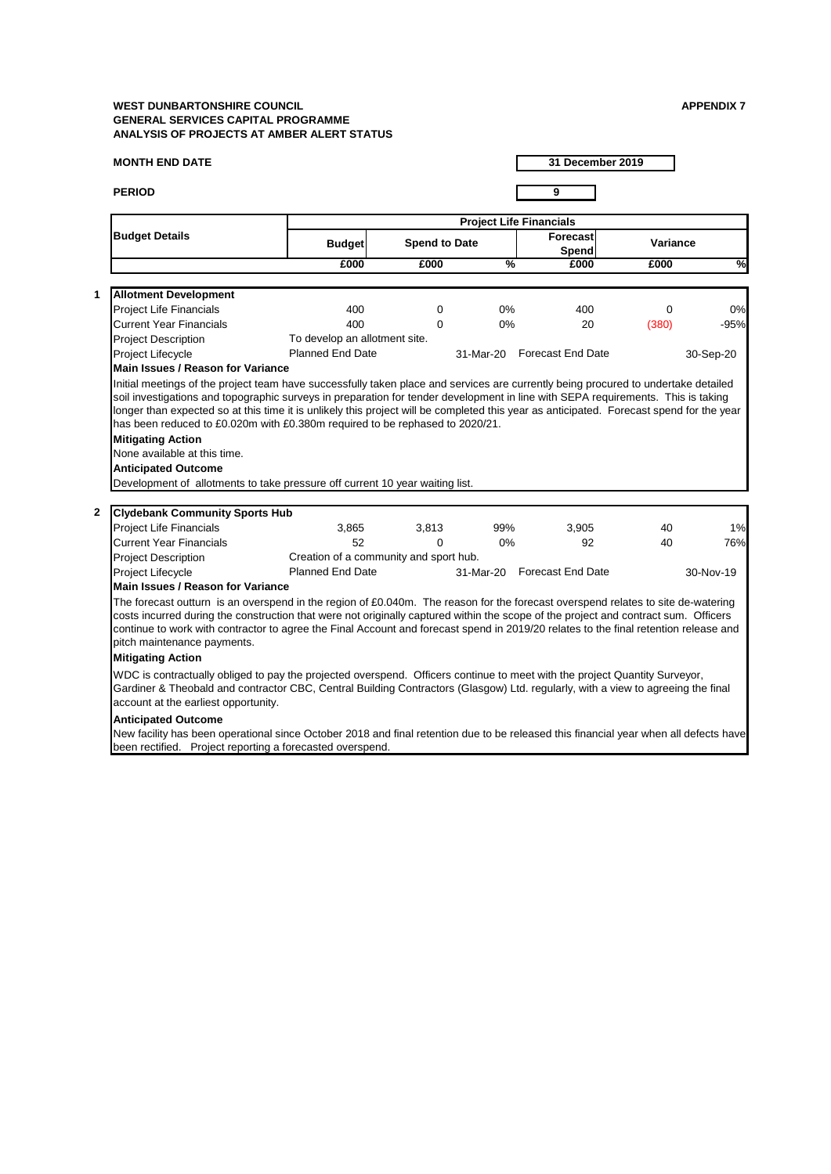#### **MONTH END DATE**

**PERIOD 9**

**1**

**2**

|                                                                                                                                                                                                                                                                                                                                                                                                                                                |                                        |                      |               | <b>Project Life Financials</b>  |                 |               |
|------------------------------------------------------------------------------------------------------------------------------------------------------------------------------------------------------------------------------------------------------------------------------------------------------------------------------------------------------------------------------------------------------------------------------------------------|----------------------------------------|----------------------|---------------|---------------------------------|-----------------|---------------|
| <b>Budget Details</b>                                                                                                                                                                                                                                                                                                                                                                                                                          | <b>Budget</b>                          | <b>Spend to Date</b> |               | <b>Forecast</b><br><b>Spend</b> | <b>Variance</b> |               |
|                                                                                                                                                                                                                                                                                                                                                                                                                                                | £000                                   | £000                 | $\frac{9}{6}$ | £000                            | £000            | $\frac{8}{2}$ |
|                                                                                                                                                                                                                                                                                                                                                                                                                                                |                                        |                      |               |                                 |                 |               |
| <b>Allotment Development</b>                                                                                                                                                                                                                                                                                                                                                                                                                   |                                        |                      |               |                                 |                 |               |
| <b>Project Life Financials</b>                                                                                                                                                                                                                                                                                                                                                                                                                 | 400                                    | $\mathbf 0$          | $0\%$         | 400                             | $\mathbf 0$     | 0%            |
| <b>Current Year Financials</b>                                                                                                                                                                                                                                                                                                                                                                                                                 | 400                                    | $\Omega$             | 0%            | 20                              | (380)           | $-95%$        |
| <b>Project Description</b>                                                                                                                                                                                                                                                                                                                                                                                                                     | To develop an allotment site.          |                      |               |                                 |                 |               |
| Project Lifecycle                                                                                                                                                                                                                                                                                                                                                                                                                              | <b>Planned End Date</b>                |                      | 31-Mar-20     | <b>Forecast End Date</b>        |                 | 30-Sep-20     |
| <b>Main Issues / Reason for Variance</b>                                                                                                                                                                                                                                                                                                                                                                                                       |                                        |                      |               |                                 |                 |               |
| soil investigations and topographic surveys in preparation for tender development in line with SEPA requirements. This is taking<br>longer than expected so at this time it is unlikely this project will be completed this year as anticipated. Forecast spend for the year<br>has been reduced to £0.020m with £0.380m required to be rephased to 2020/21.<br><b>Mitigating Action</b>                                                       |                                        |                      |               |                                 |                 |               |
| None available at this time.                                                                                                                                                                                                                                                                                                                                                                                                                   |                                        |                      |               |                                 |                 |               |
| <b>Anticipated Outcome</b>                                                                                                                                                                                                                                                                                                                                                                                                                     |                                        |                      |               |                                 |                 |               |
| Development of allotments to take pressure off current 10 year waiting list.                                                                                                                                                                                                                                                                                                                                                                   |                                        |                      |               |                                 |                 |               |
|                                                                                                                                                                                                                                                                                                                                                                                                                                                |                                        |                      |               |                                 |                 |               |
| <b>Clydebank Community Sports Hub</b>                                                                                                                                                                                                                                                                                                                                                                                                          |                                        |                      |               |                                 |                 |               |
| <b>Project Life Financials</b>                                                                                                                                                                                                                                                                                                                                                                                                                 | 3,865                                  | 3,813                | 99%           | 3,905                           | 40              | 1%            |
| <b>Current Year Financials</b>                                                                                                                                                                                                                                                                                                                                                                                                                 | 52                                     | $\Omega$             | 0%            | 92                              | 40              | 76%           |
| <b>Project Description</b>                                                                                                                                                                                                                                                                                                                                                                                                                     | Creation of a community and sport hub. |                      |               |                                 |                 |               |
| <b>Project Lifecycle</b>                                                                                                                                                                                                                                                                                                                                                                                                                       | <b>Planned End Date</b>                |                      | 31-Mar-20     | <b>Forecast End Date</b>        |                 | 30-Nov-19     |
| <b>Main Issues / Reason for Variance</b>                                                                                                                                                                                                                                                                                                                                                                                                       |                                        |                      |               |                                 |                 |               |
| The forecast outturn is an overspend in the region of £0.040m. The reason for the forecast overspend relates to site de-watering<br>costs incurred during the construction that were not originally captured within the scope of the project and contract sum. Officers<br>continue to work with contractor to agree the Final Account and forecast spend in 2019/20 relates to the final retention release and<br>pitch maintenance payments. |                                        |                      |               |                                 |                 |               |
| <b>Mitigating Action</b>                                                                                                                                                                                                                                                                                                                                                                                                                       |                                        |                      |               |                                 |                 |               |
| WDC is contractually obliged to pay the projected overspend. Officers continue to meet with the project Quantity Surveyor,<br>Gardiner & Theobald and contractor CBC, Central Building Contractors (Glasgow) Ltd. regularly, with a view to agreeing the final<br>account at the earliest opportunity.                                                                                                                                         |                                        |                      |               |                                 |                 |               |
| <b>Anticipated Outcome</b><br>New facility has been operational since October 2018 and final retention due to be released this financial year when all defects have<br>been rectified. Project reporting a forecasted overspend.                                                                                                                                                                                                               |                                        |                      |               |                                 |                 |               |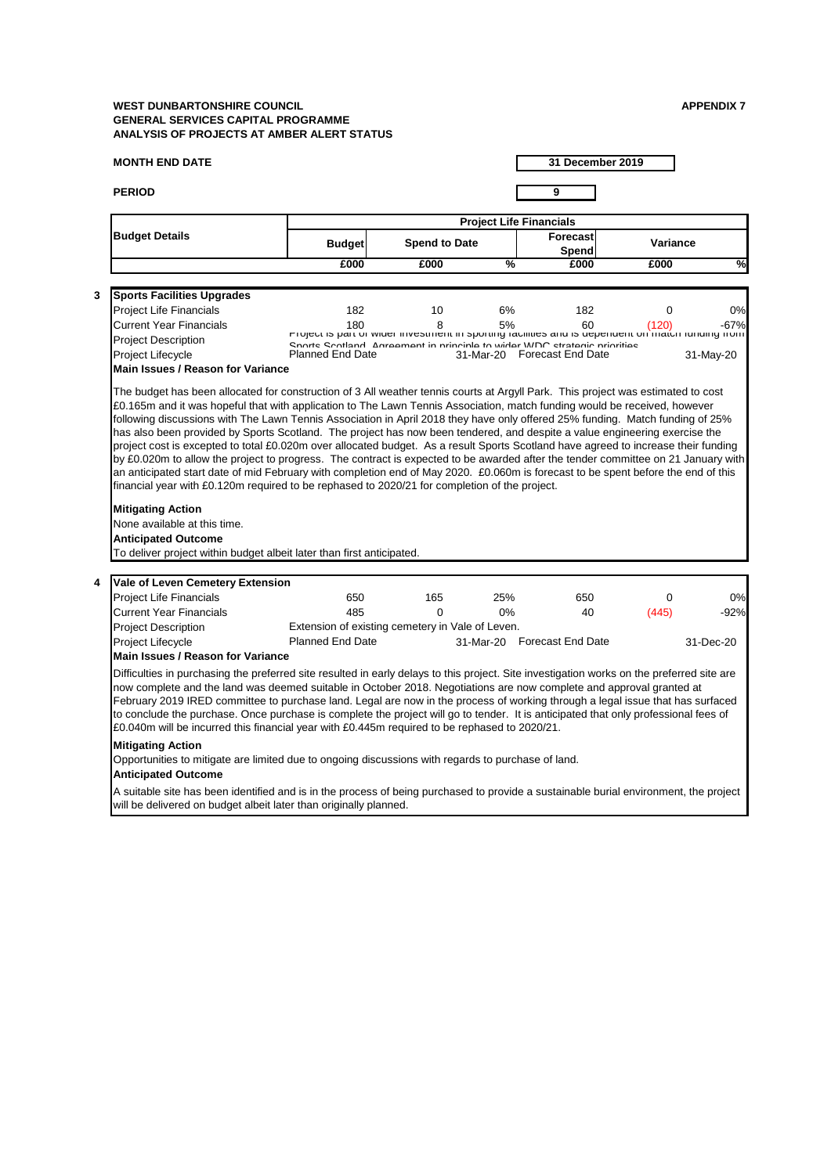# **MONTH END DATE**

**PERIOD 9**

|   |                                                                                                                                                                                                                                                                                                                                                                                                                                                                                                                                                                                                                                                                                                                                                                                                                                          |                                                                                                        |                      |               | <b>Project Life Financials</b>  |                 |           |
|---|------------------------------------------------------------------------------------------------------------------------------------------------------------------------------------------------------------------------------------------------------------------------------------------------------------------------------------------------------------------------------------------------------------------------------------------------------------------------------------------------------------------------------------------------------------------------------------------------------------------------------------------------------------------------------------------------------------------------------------------------------------------------------------------------------------------------------------------|--------------------------------------------------------------------------------------------------------|----------------------|---------------|---------------------------------|-----------------|-----------|
|   | <b>Budget Details</b>                                                                                                                                                                                                                                                                                                                                                                                                                                                                                                                                                                                                                                                                                                                                                                                                                    | <b>Budget</b>                                                                                          | <b>Spend to Date</b> |               | <b>Forecast</b><br><b>Spend</b> | <b>Variance</b> |           |
|   |                                                                                                                                                                                                                                                                                                                                                                                                                                                                                                                                                                                                                                                                                                                                                                                                                                          | £000                                                                                                   | £000                 | $\frac{9}{6}$ | £000                            | £000            | ≫         |
|   |                                                                                                                                                                                                                                                                                                                                                                                                                                                                                                                                                                                                                                                                                                                                                                                                                                          |                                                                                                        |                      |               |                                 |                 |           |
| 3 | <b>Sports Facilities Upgrades</b>                                                                                                                                                                                                                                                                                                                                                                                                                                                                                                                                                                                                                                                                                                                                                                                                        |                                                                                                        |                      |               |                                 |                 |           |
|   | <b>Project Life Financials</b>                                                                                                                                                                                                                                                                                                                                                                                                                                                                                                                                                                                                                                                                                                                                                                                                           | 182                                                                                                    | 10                   | 6%            | 182                             | 0               | 0%        |
|   | <b>Current Year Financials</b>                                                                                                                                                                                                                                                                                                                                                                                                                                                                                                                                                                                                                                                                                                                                                                                                           | 180<br>Project is part or wider investment in sporting radintes and is dependent on match funding from | 8                    | 5%            | 60                              | (120)           | $-67%$    |
|   | <b>Project Description</b>                                                                                                                                                                                                                                                                                                                                                                                                                                                                                                                                                                                                                                                                                                                                                                                                               | Snorte Scotland Adragment in principle to wider WDC etratedic priorities                               |                      |               |                                 |                 |           |
|   | Project Lifecycle                                                                                                                                                                                                                                                                                                                                                                                                                                                                                                                                                                                                                                                                                                                                                                                                                        | <b>Planned End Date</b>                                                                                |                      |               | 31-Mar-20 Forecast End Date     |                 | 31-May-20 |
|   | Main Issues / Reason for Variance                                                                                                                                                                                                                                                                                                                                                                                                                                                                                                                                                                                                                                                                                                                                                                                                        |                                                                                                        |                      |               |                                 |                 |           |
|   | following discussions with The Lawn Tennis Association in April 2018 they have only offered 25% funding. Match funding of 25%<br>has also been provided by Sports Scotland. The project has now been tendered, and despite a value engineering exercise the<br>project cost is excepted to total £0.020m over allocated budget. As a result Sports Scotland have agreed to increase their funding<br>by £0.020m to allow the project to progress. The contract is expected to be awarded after the tender committee on 21 January with<br>an anticipated start date of mid February with completion end of May 2020. £0.060m is forecast to be spent before the end of this<br>financial year with £0.120m required to be rephased to 2020/21 for completion of the project.<br><b>Mitigating Action</b><br>None available at this time. |                                                                                                        |                      |               |                                 |                 |           |
|   | <b>Anticipated Outcome</b>                                                                                                                                                                                                                                                                                                                                                                                                                                                                                                                                                                                                                                                                                                                                                                                                               |                                                                                                        |                      |               |                                 |                 |           |
|   | To deliver project within budget albeit later than first anticipated.                                                                                                                                                                                                                                                                                                                                                                                                                                                                                                                                                                                                                                                                                                                                                                    |                                                                                                        |                      |               |                                 |                 |           |
|   |                                                                                                                                                                                                                                                                                                                                                                                                                                                                                                                                                                                                                                                                                                                                                                                                                                          |                                                                                                        |                      |               |                                 |                 |           |
| 4 | <b>Vale of Leven Cemetery Extension</b>                                                                                                                                                                                                                                                                                                                                                                                                                                                                                                                                                                                                                                                                                                                                                                                                  | 650                                                                                                    | 165                  | 25%           | 650                             |                 | 0%        |
|   | <b>Project Life Financials</b><br><b>Current Year Financials</b>                                                                                                                                                                                                                                                                                                                                                                                                                                                                                                                                                                                                                                                                                                                                                                         | 485                                                                                                    | $\mathbf 0$          | $0\%$         | 40                              | 0<br>(445)      | $-92%$    |
|   | <b>Project Description</b>                                                                                                                                                                                                                                                                                                                                                                                                                                                                                                                                                                                                                                                                                                                                                                                                               | Extension of existing cemetery in Vale of Leven.                                                       |                      |               |                                 |                 |           |
|   | Project Lifecycle                                                                                                                                                                                                                                                                                                                                                                                                                                                                                                                                                                                                                                                                                                                                                                                                                        | <b>Planned End Date</b>                                                                                |                      |               | 31-Mar-20 Forecast End Date     |                 | 31-Dec-20 |
|   | <b>Main Issues / Reason for Variance</b>                                                                                                                                                                                                                                                                                                                                                                                                                                                                                                                                                                                                                                                                                                                                                                                                 |                                                                                                        |                      |               |                                 |                 |           |
|   | Difficulties in purchasing the preferred site resulted in early delays to this project. Site investigation works on the preferred site are<br>now complete and the land was deemed suitable in October 2018. Negotiations are now complete and approval granted at<br>February 2019 IRED committee to purchase land. Legal are now in the process of working through a legal issue that has surfaced<br>to conclude the purchase. Once purchase is complete the project will go to tender. It is anticipated that only professional fees of<br>£0.040m will be incurred this financial year with £0.445m required to be rephased to 2020/21.                                                                                                                                                                                             |                                                                                                        |                      |               |                                 |                 |           |
|   | <b>Mitigating Action</b>                                                                                                                                                                                                                                                                                                                                                                                                                                                                                                                                                                                                                                                                                                                                                                                                                 |                                                                                                        |                      |               |                                 |                 |           |
|   | Opportunities to mitigate are limited due to ongoing discussions with regards to purchase of land.<br><b>Anticipated Outcome</b>                                                                                                                                                                                                                                                                                                                                                                                                                                                                                                                                                                                                                                                                                                         |                                                                                                        |                      |               |                                 |                 |           |
|   | A suitable site has been identified and is in the process of being purchased to provide a sustainable burial environment, the project<br>will be delivered on budget albeit later than originally planned.                                                                                                                                                                                                                                                                                                                                                                                                                                                                                                                                                                                                                               |                                                                                                        |                      |               |                                 |                 |           |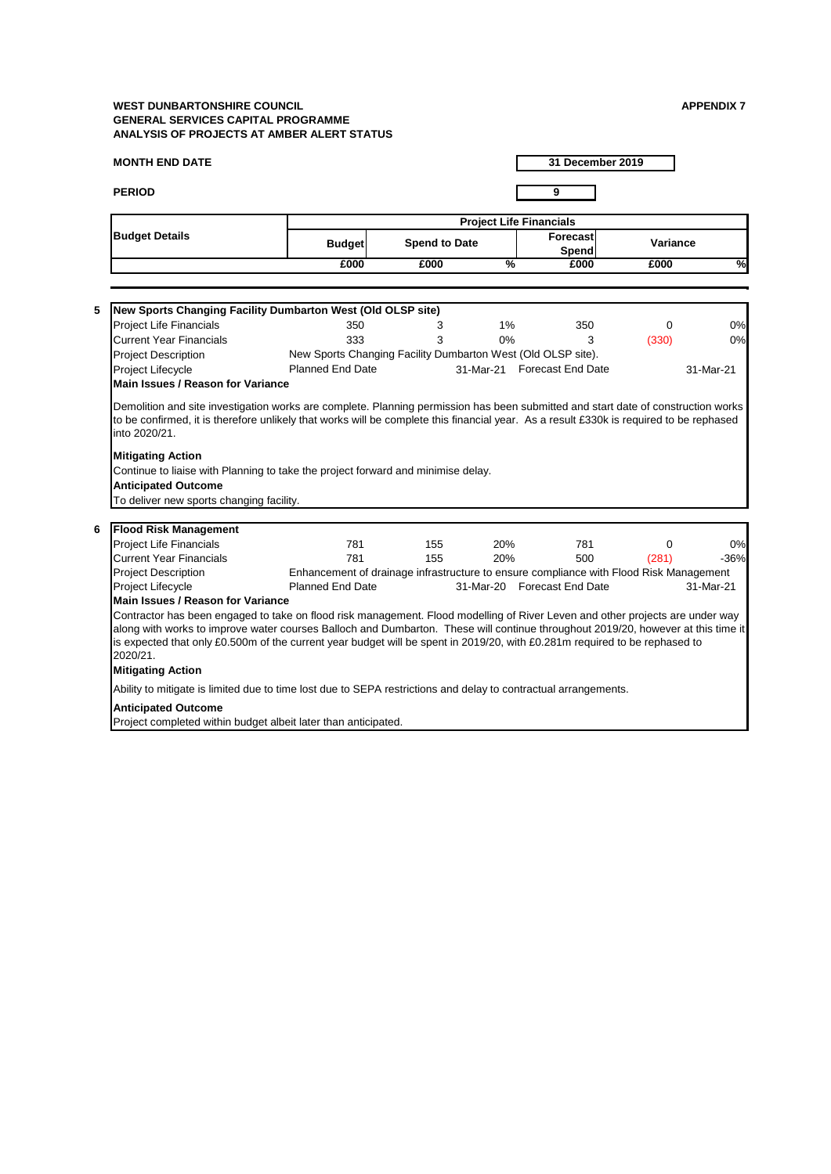**MONTH END DATE**

**31 December 2019**

| 6 | <b>Flood Risk Management</b>                                                                                                                                                                                                                                               |                                                                                        |     |            |                             |       |           |
|---|----------------------------------------------------------------------------------------------------------------------------------------------------------------------------------------------------------------------------------------------------------------------------|----------------------------------------------------------------------------------------|-----|------------|-----------------------------|-------|-----------|
|   | <b>Project Life Financials</b>                                                                                                                                                                                                                                             | 781                                                                                    | 155 | 20%        | 781                         |       | 0%        |
|   | <b>Current Year Financials</b>                                                                                                                                                                                                                                             | 781                                                                                    | 155 | <b>20%</b> | 500                         | (281) | $-36%$    |
|   | <b>Project Description</b>                                                                                                                                                                                                                                                 | Enhancement of drainage infrastructure to ensure compliance with Flood Risk Management |     |            |                             |       |           |
|   | <b>Project Lifecycle</b>                                                                                                                                                                                                                                                   | <b>Planned End Date</b>                                                                |     |            | 31-Mar-20 Forecast End Date |       | 31-Mar-21 |
|   | <b>IMain Issues / Reason for Variance</b>                                                                                                                                                                                                                                  |                                                                                        |     |            |                             |       |           |
|   | Contractor has been engaged to take on flood risk management. Flood modelling of River Leven and other projects are under way                                                                                                                                              |                                                                                        |     |            |                             |       |           |
|   | along with works to improve water courses Balloch and Dumbarton. These will continue throughout 2019/20, however at this time it<br>is expected that only £0.500m of the current year budget will be spent in 2019/20, with £0.281m required to be rephased to<br>2020/21. |                                                                                        |     |            |                             |       |           |
|   | <b>Mitigating Action</b>                                                                                                                                                                                                                                                   |                                                                                        |     |            |                             |       |           |
|   | Ability to mitigate is limited due to time lost due to SEPA restrictions and delay to contractual arrangements.                                                                                                                                                            |                                                                                        |     |            |                             |       |           |
|   | <b>Anticipated Outcome</b>                                                                                                                                                                                                                                                 |                                                                                        |     |            |                             |       |           |
|   | Project completed within budget albeit later than anticipated.                                                                                                                                                                                                             |                                                                                        |     |            |                             |       |           |

# **PERIOD 9 Budget Forecast Spend to Date Variance Spend £000 £000 % £000 £000 % Budget Details Project Life Financials 5 New Sports Changing Facility Dumbarton West (Old OLSP site)**  Project Life Financials **350** 350 3 350 350 350 350 350 350 350 Current Year Financials **333** 333 3 3 3 3 3 3 3 3 3 3 3 3 3 4 3 3 3 3 4 3 4 3 4 3 4 3 4 3 4 3 4 3 4 3 4 3 4 3 4 3 4  $\frac{1}{30}$  5  $\frac{1}{30}$  5  $\frac{1}{30}$  5  $\frac{1}{30}$  5  $\frac{1}{30}$  5  $\frac{1}{30}$  5  $\frac{1}{30}$  5  $\frac{1}{30}$  5  $\$ Project Description Project Lifecycle 31-Mar-21 31-Mar-21 Planned End Date Forecast End Date **Mitigating Action** Continue to liaise with Planning to take the project forward and minimise delay. New Sports Changing Facility Dumbarton West (Old OLSP site). **Main Issues / Reason for Variance**  Demolition and site investigation works are complete. Planning permission has been submitted and start date of construction works to be confirmed, it is therefore unlikely that works will be complete this financial year. As a result £330k is required to be rephased into 2020/21.

#### **Anticipated Outcome**

To deliver new sports changing facility.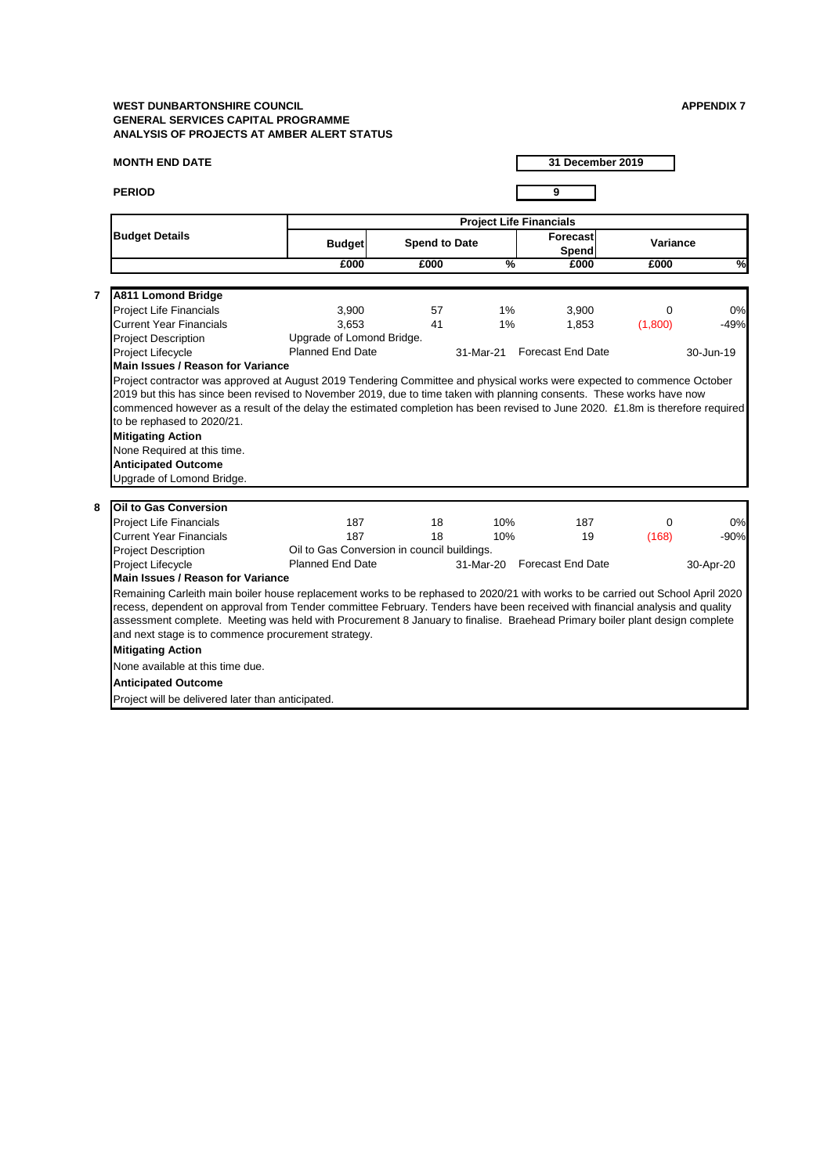# **MONTH END DATE**

**PERIOD 9**

|                         |                                                                                                                                                                                                                                                                                                                                                                                                                  |                                             |                      |               | <b>Project Life Financials</b>  |                 |           |
|-------------------------|------------------------------------------------------------------------------------------------------------------------------------------------------------------------------------------------------------------------------------------------------------------------------------------------------------------------------------------------------------------------------------------------------------------|---------------------------------------------|----------------------|---------------|---------------------------------|-----------------|-----------|
|                         | <b>Budget Details</b>                                                                                                                                                                                                                                                                                                                                                                                            | <b>Budget</b>                               | <b>Spend to Date</b> |               | <b>Forecast</b><br><b>Spend</b> | <b>Variance</b> |           |
|                         |                                                                                                                                                                                                                                                                                                                                                                                                                  | £000                                        | £000                 | $\frac{1}{2}$ | £000                            | £000            | %         |
|                         |                                                                                                                                                                                                                                                                                                                                                                                                                  |                                             |                      |               |                                 |                 |           |
| $\overline{\mathbf{r}}$ | <b>A811 Lomond Bridge</b>                                                                                                                                                                                                                                                                                                                                                                                        |                                             |                      |               |                                 |                 |           |
|                         | <b>Project Life Financials</b>                                                                                                                                                                                                                                                                                                                                                                                   | 3,900                                       | 57                   | $1\%$         | 3,900                           | $\Omega$        | 0%        |
|                         | <b>Current Year Financials</b>                                                                                                                                                                                                                                                                                                                                                                                   | 3,653                                       | 41                   | 1%            | 1,853                           | (1,800)         | $-49%$    |
|                         | <b>Project Description</b>                                                                                                                                                                                                                                                                                                                                                                                       | Upgrade of Lomond Bridge.                   |                      |               |                                 |                 |           |
|                         | <b>Project Lifecycle</b>                                                                                                                                                                                                                                                                                                                                                                                         | <b>Planned End Date</b>                     |                      | 31-Mar-21     | <b>Forecast End Date</b>        |                 | 30-Jun-19 |
|                         | Main Issues / Reason for Variance                                                                                                                                                                                                                                                                                                                                                                                |                                             |                      |               |                                 |                 |           |
|                         | Project contractor was approved at August 2019 Tendering Committee and physical works were expected to commence October<br>2019 but this has since been revised to November 2019, due to time taken with planning consents. These works have now<br>commenced however as a result of the delay the estimated completion has been revised to June 2020. £1.8m is therefore required<br>to be rephased to 2020/21. |                                             |                      |               |                                 |                 |           |
|                         |                                                                                                                                                                                                                                                                                                                                                                                                                  |                                             |                      |               |                                 |                 |           |
|                         | <b>Mitigating Action</b>                                                                                                                                                                                                                                                                                                                                                                                         |                                             |                      |               |                                 |                 |           |
|                         | None Required at this time.<br><b>Anticipated Outcome</b>                                                                                                                                                                                                                                                                                                                                                        |                                             |                      |               |                                 |                 |           |
|                         | Upgrade of Lomond Bridge.                                                                                                                                                                                                                                                                                                                                                                                        |                                             |                      |               |                                 |                 |           |
|                         |                                                                                                                                                                                                                                                                                                                                                                                                                  |                                             |                      |               |                                 |                 |           |
| 8                       | <b>Oil to Gas Conversion</b>                                                                                                                                                                                                                                                                                                                                                                                     |                                             |                      |               |                                 |                 |           |
|                         | <b>Project Life Financials</b>                                                                                                                                                                                                                                                                                                                                                                                   | 187                                         | 18                   | 10%           | 187                             | $\overline{0}$  | 0%        |
|                         | <b>Current Year Financials</b>                                                                                                                                                                                                                                                                                                                                                                                   | 187                                         | 18                   | 10%           | 19                              | (168)           | $-90%$    |
|                         | <b>Project Description</b>                                                                                                                                                                                                                                                                                                                                                                                       | Oil to Gas Conversion in council buildings. |                      |               |                                 |                 |           |
|                         | <b>Project Lifecycle</b>                                                                                                                                                                                                                                                                                                                                                                                         | <b>Planned End Date</b>                     |                      | 31-Mar-20     | <b>Forecast End Date</b>        |                 | 30-Apr-20 |
|                         | <b>Main Issues / Reason for Variance</b>                                                                                                                                                                                                                                                                                                                                                                         |                                             |                      |               |                                 |                 |           |
|                         | Remaining Carleith main boiler house replacement works to be rephased to 2020/21 with works to be carried out School April 2020                                                                                                                                                                                                                                                                                  |                                             |                      |               |                                 |                 |           |
|                         | recess, dependent on approval from Tender committee February. Tenders have been received with financial analysis and quality                                                                                                                                                                                                                                                                                     |                                             |                      |               |                                 |                 |           |
|                         | assessment complete. Meeting was held with Procurement 8 January to finalise. Braehead Primary boiler plant design complete                                                                                                                                                                                                                                                                                      |                                             |                      |               |                                 |                 |           |
|                         | and next stage is to commence procurement strategy.                                                                                                                                                                                                                                                                                                                                                              |                                             |                      |               |                                 |                 |           |
|                         | <b>Mitigating Action</b>                                                                                                                                                                                                                                                                                                                                                                                         |                                             |                      |               |                                 |                 |           |
|                         | None available at this time due.                                                                                                                                                                                                                                                                                                                                                                                 |                                             |                      |               |                                 |                 |           |
|                         | <b>Anticipated Outcome</b>                                                                                                                                                                                                                                                                                                                                                                                       |                                             |                      |               |                                 |                 |           |
|                         | Project will be delivered later than anticipated.                                                                                                                                                                                                                                                                                                                                                                |                                             |                      |               |                                 |                 |           |
|                         |                                                                                                                                                                                                                                                                                                                                                                                                                  |                                             |                      |               |                                 |                 |           |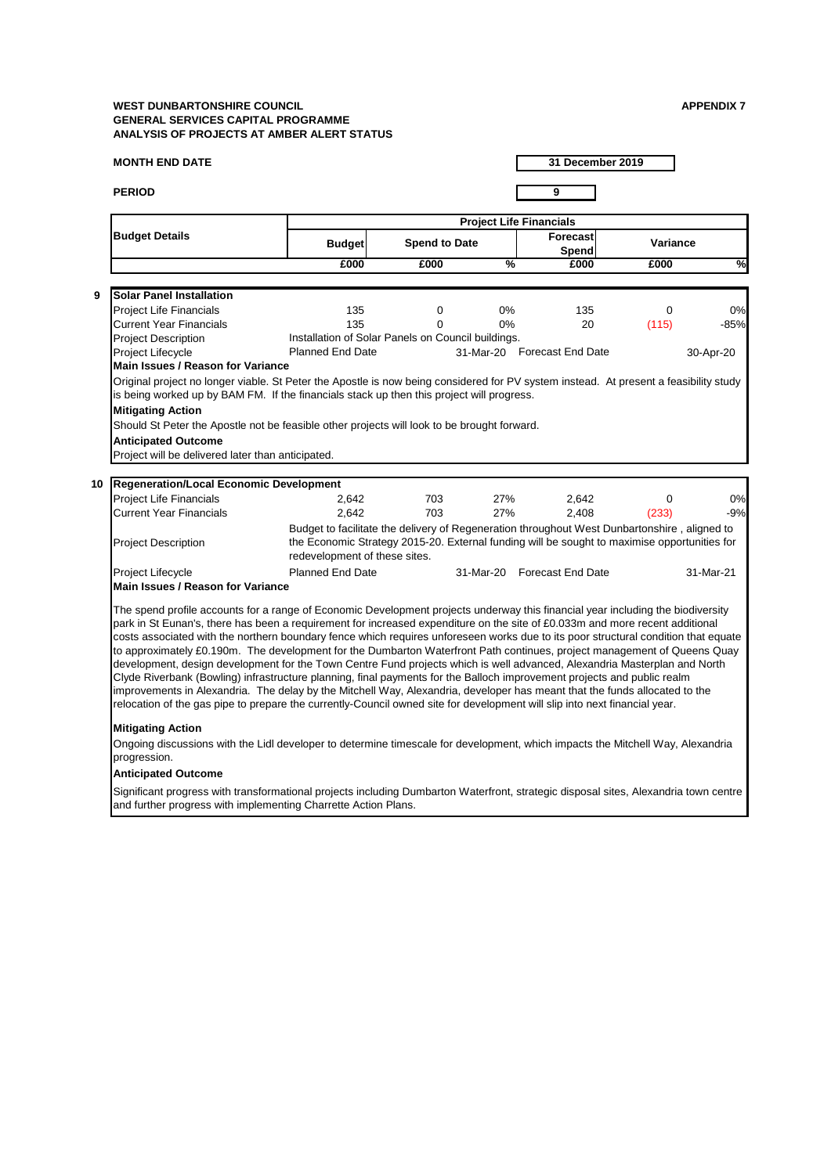#### **MONTH END DATE**

**PERIOD 9**

**31 December 2019**

The spend profile accounts for a range of Economic Development projects underway this financial year including the biodiversity park in St Eunan's, there has been a requirement for increased expenditure on the site of £0.033m and more recent additional costs associated with the northern boundary fence which requires unforeseen works due to its poor structural condition that equate to approximately £0.190m. The development for the Dumbarton Waterfront Path continues, project management of Queens Quay development, design development for the Town Centre Fund projects which is well advanced, Alexandria Masterplan and North Clyde Riverbank (Bowling) infrastructure planning, final payments for the Balloch improvement projects and public realm improvements in Alexandria. The delay by the Mitchell Way, Alexandria, developer has meant that the funds allocated to the relocation of the gas pipe to prepare the currently-Council owned site for development will slip into next financial year.

|                                                                                                                                                                                                                                                                                                                                                               |                                                    |                      | <b>Project Life Financials</b> |                                                                                                                                                                                              |                 |                    |
|---------------------------------------------------------------------------------------------------------------------------------------------------------------------------------------------------------------------------------------------------------------------------------------------------------------------------------------------------------------|----------------------------------------------------|----------------------|--------------------------------|----------------------------------------------------------------------------------------------------------------------------------------------------------------------------------------------|-----------------|--------------------|
| <b>Budget Details</b>                                                                                                                                                                                                                                                                                                                                         | <b>Budget</b>                                      | <b>Spend to Date</b> |                                | <b>Forecast</b><br><b>Spend</b>                                                                                                                                                              | <b>Variance</b> |                    |
|                                                                                                                                                                                                                                                                                                                                                               | £000                                               | £000                 | $\frac{0}{2}$                  | £000                                                                                                                                                                                         | £000            | $\frac{8}{1}$      |
| 9<br><b>Solar Panel Installation</b>                                                                                                                                                                                                                                                                                                                          |                                                    |                      |                                |                                                                                                                                                                                              |                 |                    |
| <b>Project Life Financials</b>                                                                                                                                                                                                                                                                                                                                | 135                                                | $\Omega$             | $0\%$                          | 135                                                                                                                                                                                          | $\Omega$        | 0%                 |
| <b>Current Year Financials</b>                                                                                                                                                                                                                                                                                                                                | 135                                                | 0                    | $0\%$                          | 20                                                                                                                                                                                           | (115)           | $-85%$             |
| <b>Project Description</b>                                                                                                                                                                                                                                                                                                                                    | Installation of Solar Panels on Council buildings. |                      |                                |                                                                                                                                                                                              |                 |                    |
| <b>Project Lifecycle</b>                                                                                                                                                                                                                                                                                                                                      | <b>Planned End Date</b>                            |                      |                                | 31-Mar-20 Forecast End Date                                                                                                                                                                  |                 | 30-Apr-20          |
| <b>Main Issues / Reason for Variance</b>                                                                                                                                                                                                                                                                                                                      |                                                    |                      |                                |                                                                                                                                                                                              |                 |                    |
| Original project no longer viable. St Peter the Apostle is now being considered for PV system instead. At present a feasibility study<br>is being worked up by BAM FM. If the financials stack up then this project will progress.<br><b>Mitigating Action</b><br>Should St Peter the Apostle not be feasible other projects will look to be brought forward. |                                                    |                      |                                |                                                                                                                                                                                              |                 |                    |
| <b>Anticipated Outcome</b>                                                                                                                                                                                                                                                                                                                                    |                                                    |                      |                                |                                                                                                                                                                                              |                 |                    |
| Project will be delivered later than anticipated.                                                                                                                                                                                                                                                                                                             |                                                    |                      |                                |                                                                                                                                                                                              |                 |                    |
| Regeneration/Local Economic Development<br>10 <sup>°</sup>                                                                                                                                                                                                                                                                                                    |                                                    |                      |                                |                                                                                                                                                                                              |                 |                    |
| <b>Project Life Financials</b>                                                                                                                                                                                                                                                                                                                                | 2,642                                              | 703                  | 27%                            | 2,642                                                                                                                                                                                        | $\overline{0}$  | 0%                 |
| <b>Current Year Financials</b>                                                                                                                                                                                                                                                                                                                                | 2,642                                              | 703                  | 27%                            | 2,408                                                                                                                                                                                        | (233)           |                    |
| <b>Project Description</b>                                                                                                                                                                                                                                                                                                                                    | redevelopment of these sites.                      |                      |                                | Budget to facilitate the delivery of Regeneration throughout West Dunbartonshire, aligned to<br>the Economic Strategy 2015-20. External funding will be sought to maximise opportunities for |                 |                    |
| <b>Project Lifecycle</b>                                                                                                                                                                                                                                                                                                                                      | <b>Planned End Date</b>                            |                      | 31-Mar-20                      | <b>Forecast End Date</b>                                                                                                                                                                     |                 | $-9%$<br>31-Mar-21 |

#### **Mitigating Action**

Ongoing discussions with the Lidl developer to determine timescale for development, which impacts the Mitchell Way, Alexandria progression.

#### **Anticipated Outcome**

Significant progress with transformational projects including Dumbarton Waterfront, strategic disposal sites, Alexandria town centre and further progress with implementing Charrette Action Plans.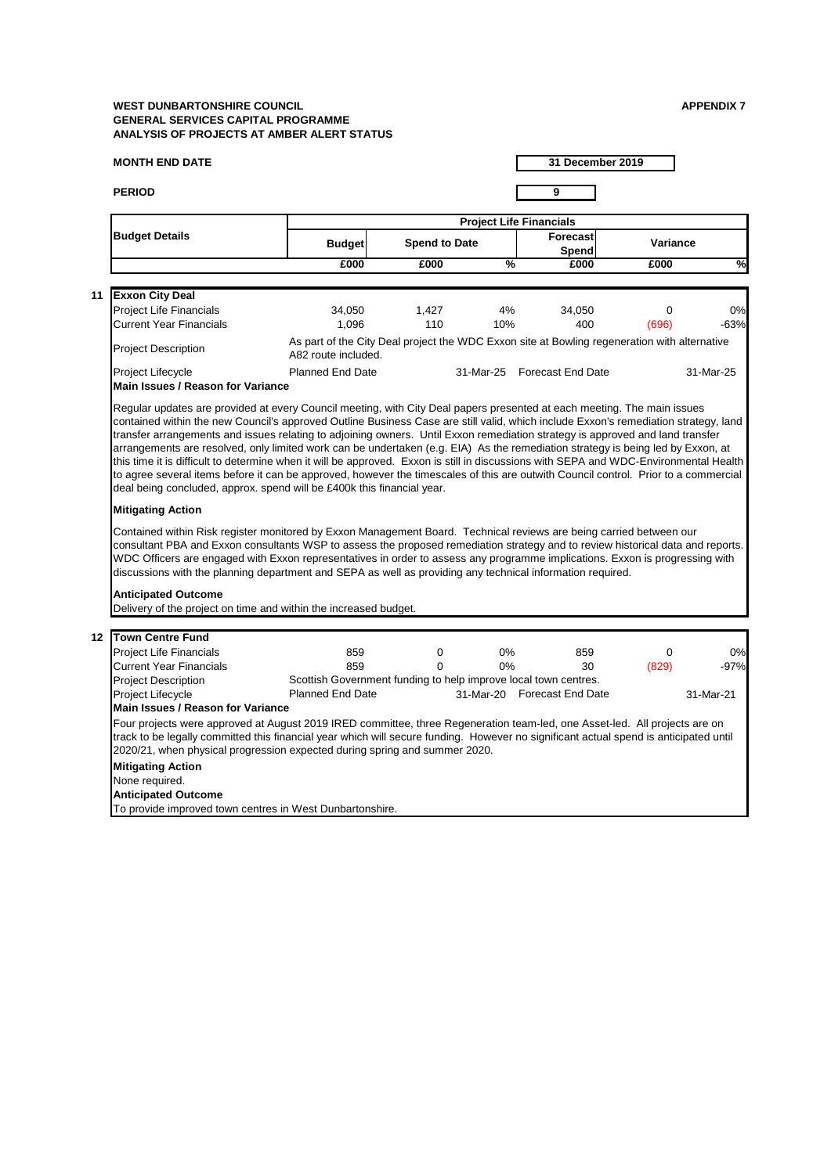#### **MONTH END DATE**

**PERIOD 9**

**31 December 2019**

**11**

To provide improved town centres in West Dunbartonshire.

| 12 <sup>°</sup> | <b>Town Centre Fund</b>           |                                                                                                                                       |   |                             |     |                |           |
|-----------------|-----------------------------------|---------------------------------------------------------------------------------------------------------------------------------------|---|-----------------------------|-----|----------------|-----------|
|                 | <b>Project Life Financials</b>    | 859                                                                                                                                   | 0 | $0\%$                       | 859 | $\overline{0}$ | 0%        |
|                 | <b>Current Year Financials</b>    | 859                                                                                                                                   | 0 | $0\%$                       | 30  | (829)          | $-97%$    |
|                 | <b>Project Description</b>        | Scottish Government funding to help improve local town centres.                                                                       |   |                             |     |                |           |
|                 | <b>Project Lifecycle</b>          | <b>Planned End Date</b>                                                                                                               |   | 31-Mar-20 Forecast End Date |     |                | 31-Mar-21 |
|                 | Main Issues / Reason for Variance |                                                                                                                                       |   |                             |     |                |           |
|                 |                                   | Four projects were approved at August 2019 IRED committee, three Regeneration team-led, one Asset-led. All projects are on            |   |                             |     |                |           |
|                 |                                   | track to be legally committed this financial year which will secure funding. However no significant actual spend is anticipated until |   |                             |     |                |           |
|                 |                                   | 2020/21, when physical progression expected during spring and summer 2020.                                                            |   |                             |     |                |           |
|                 | <b>Mitigating Action</b>          |                                                                                                                                       |   |                             |     |                |           |
|                 | None required.                    |                                                                                                                                       |   |                             |     |                |           |
|                 | <b>Anticipated Outcome</b>        |                                                                                                                                       |   |                             |     |                |           |

#### **Anticipated Outcome**

Delivery of the project on time and within the increased budget.

**Main Issues / Reason for Variance** 

|                                                                         |                                                                                                                     | <b>Project Life Financials</b> |           |                                 |                 |               |  |  |  |
|-------------------------------------------------------------------------|---------------------------------------------------------------------------------------------------------------------|--------------------------------|-----------|---------------------------------|-----------------|---------------|--|--|--|
| <b>Budget Details</b>                                                   | <b>Budget</b>                                                                                                       | <b>Spend to Date</b>           |           | <b>Forecast</b><br><b>Spend</b> | <b>Variance</b> |               |  |  |  |
|                                                                         | £000                                                                                                                | £000                           | $\%$      | £000                            | £000            | $\frac{0}{0}$ |  |  |  |
| <b>Exxon City Deal</b>                                                  |                                                                                                                     |                                |           |                                 |                 |               |  |  |  |
| <b>Project Life Financials</b>                                          | 34,050                                                                                                              | 1,427                          | 4%        | 34,050                          | 0               | 0%            |  |  |  |
| <b>Current Year Financials</b>                                          | 1,096                                                                                                               | 110                            | 10%       | 400                             | (696)           | $-63%$        |  |  |  |
| <b>Project Description</b>                                              | As part of the City Deal project the WDC Exxon site at Bowling regeneration with alternative<br>A82 route included. |                                |           |                                 |                 |               |  |  |  |
| <b>Project Lifecycle</b><br>$\mathbf{a}$ . The final state $\mathbf{b}$ | <b>Planned End Date</b>                                                                                             |                                | 31-Mar-25 | <b>Forecast End Date</b>        |                 | 31-Mar-25     |  |  |  |

Regular updates are provided at every Council meeting, with City Deal papers presented at each meeting. The main issues contained within the new Council's approved Outline Business Case are still valid, which include Exxon's remediation strategy, land transfer arrangements and issues relating to adjoining owners. Until Exxon remediation strategy is approved and land transfer arrangements are resolved, only limited work can be undertaken (e.g. EIA) As the remediation strategy is being led by Exxon, at this time it is difficult to determine when it will be approved. Exxon is still in discussions with SEPA and WDC-Environmental Health to agree several items before it can be approved, however the timescales of this are outwith Council control. Prior to a commercial deal being concluded, approx. spend will be £400k this financial year.

#### **Mitigating Action**

Contained within Risk register monitored by Exxon Management Board. Technical reviews are being carried between our consultant PBA and Exxon consultants WSP to assess the proposed remediation strategy and to review historical data and reports. WDC Officers are engaged with Exxon representatives in order to assess any programme implications. Exxon is progressing with discussions with the planning department and SEPA as well as providing any technical information required.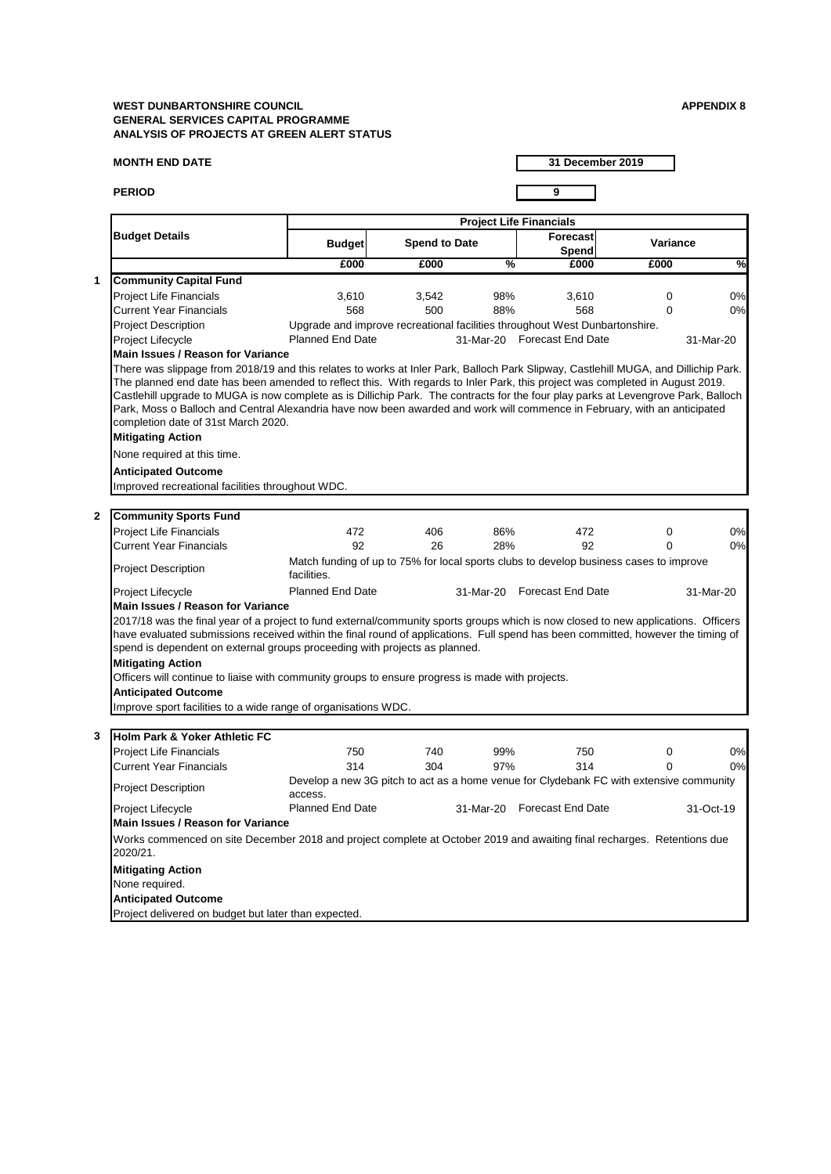#### **MONTH END DATE**

**PERIOD 9**

**31 December 2019**

# **Anticipated Outcome**

Project delivered on budget but later than expected.

#### **Main Issues / Reason for Variance**

Works commenced on site December 2018 and project complete at October 2019 and awaiting final recharges. Retentions due 2020/21.

Project Lifecycle **Example 20 Strutter Planned End Date 31-Mar-20 Forecast End Date From Act-19** 

# **Mitigating Action**

None required.

|                                                                                                                                                                                                                                                                                                                                                                                                                                                                                      |                                                                                                       |                      |               | <b>Project Life Financials</b> |                 |               |
|--------------------------------------------------------------------------------------------------------------------------------------------------------------------------------------------------------------------------------------------------------------------------------------------------------------------------------------------------------------------------------------------------------------------------------------------------------------------------------------|-------------------------------------------------------------------------------------------------------|----------------------|---------------|--------------------------------|-----------------|---------------|
| <b>Budget Details</b>                                                                                                                                                                                                                                                                                                                                                                                                                                                                | <b>Budget</b>                                                                                         | <b>Spend to Date</b> |               | Forecast<br><b>Spend</b>       | <b>Variance</b> |               |
|                                                                                                                                                                                                                                                                                                                                                                                                                                                                                      | £000                                                                                                  | £000                 | $\frac{0}{2}$ | £000                           | £000            | $\frac{1}{2}$ |
| <b>Community Capital Fund</b>                                                                                                                                                                                                                                                                                                                                                                                                                                                        |                                                                                                       |                      |               |                                |                 |               |
| <b>Project Life Financials</b>                                                                                                                                                                                                                                                                                                                                                                                                                                                       | 3,610                                                                                                 | 3,542                | 98%           | 3,610                          | 0               | 0%            |
| <b>Current Year Financials</b>                                                                                                                                                                                                                                                                                                                                                                                                                                                       | 568                                                                                                   | 500                  | 88%           | 568                            | $\overline{0}$  | 0%            |
| <b>Project Description</b>                                                                                                                                                                                                                                                                                                                                                                                                                                                           | Upgrade and improve recreational facilities throughout West Dunbartonshire.                           |                      |               |                                |                 |               |
| Project Lifecycle                                                                                                                                                                                                                                                                                                                                                                                                                                                                    | <b>Planned End Date</b>                                                                               |                      |               | 31-Mar-20 Forecast End Date    |                 | 31-Mar-20     |
| <b>Main Issues / Reason for Variance</b>                                                                                                                                                                                                                                                                                                                                                                                                                                             |                                                                                                       |                      |               |                                |                 |               |
| The planned end date has been amended to reflect this. With regards to Inler Park, this project was completed in August 2019.<br>Castlehill upgrade to MUGA is now complete as is Dillichip Park. The contracts for the four play parks at Levengrove Park, Balloch<br>Park, Moss o Balloch and Central Alexandria have now been awarded and work will commence in February, with an anticipated<br>completion date of 31st March 2020.<br><b>Mitigating Action</b>                  |                                                                                                       |                      |               |                                |                 |               |
| None required at this time.                                                                                                                                                                                                                                                                                                                                                                                                                                                          |                                                                                                       |                      |               |                                |                 |               |
| <b>Anticipated Outcome</b>                                                                                                                                                                                                                                                                                                                                                                                                                                                           |                                                                                                       |                      |               |                                |                 |               |
|                                                                                                                                                                                                                                                                                                                                                                                                                                                                                      |                                                                                                       |                      |               |                                |                 |               |
| Improved recreational facilities throughout WDC.                                                                                                                                                                                                                                                                                                                                                                                                                                     |                                                                                                       |                      |               |                                |                 |               |
| <b>Community Sports Fund</b>                                                                                                                                                                                                                                                                                                                                                                                                                                                         |                                                                                                       |                      |               |                                |                 |               |
| <b>Project Life Financials</b>                                                                                                                                                                                                                                                                                                                                                                                                                                                       | 472                                                                                                   | 406                  | 86%           | 472                            | 0               | 0%            |
| <b>Current Year Financials</b>                                                                                                                                                                                                                                                                                                                                                                                                                                                       | 92                                                                                                    | 26                   | 28%           | 92                             | 0               | 0%            |
| <b>Project Description</b>                                                                                                                                                                                                                                                                                                                                                                                                                                                           | Match funding of up to 75% for local sports clubs to develop business cases to improve<br>facilities. |                      |               |                                |                 |               |
| <b>Project Lifecycle</b>                                                                                                                                                                                                                                                                                                                                                                                                                                                             | <b>Planned End Date</b>                                                                               |                      |               | 31-Mar-20 Forecast End Date    |                 | 31-Mar-20     |
| <b>Main Issues / Reason for Variance</b>                                                                                                                                                                                                                                                                                                                                                                                                                                             |                                                                                                       |                      |               |                                |                 |               |
| 2017/18 was the final year of a project to fund external/community sports groups which is now closed to new applications. Officers<br>have evaluated submissions received within the final round of applications. Full spend has been committed, however the timing of<br>spend is dependent on external groups proceeding with projects as planned.<br><b>Mitigating Action</b><br>Officers will continue to liaise with community groups to ensure progress is made with projects. |                                                                                                       |                      |               |                                |                 |               |
| <b>Anticipated Outcome</b>                                                                                                                                                                                                                                                                                                                                                                                                                                                           |                                                                                                       |                      |               |                                |                 |               |
| Improve sport facilities to a wide range of organisations WDC.                                                                                                                                                                                                                                                                                                                                                                                                                       |                                                                                                       |                      |               |                                |                 |               |
|                                                                                                                                                                                                                                                                                                                                                                                                                                                                                      |                                                                                                       |                      |               |                                |                 |               |
| Holm Park & Yoker Athletic FC                                                                                                                                                                                                                                                                                                                                                                                                                                                        |                                                                                                       |                      |               |                                |                 |               |
| <b>Project Life Financials</b>                                                                                                                                                                                                                                                                                                                                                                                                                                                       | 750                                                                                                   | 740                  | 99%           | 750                            | 0               | 0%            |
| <b>Current Year Financials</b>                                                                                                                                                                                                                                                                                                                                                                                                                                                       | 314                                                                                                   | 304                  | 97%           | 314                            | 0               | 0%            |
| <b>Project Description</b>                                                                                                                                                                                                                                                                                                                                                                                                                                                           | Develop a new 3G pitch to act as a home venue for Clydebank FC with extensive community<br>access.    |                      |               |                                |                 |               |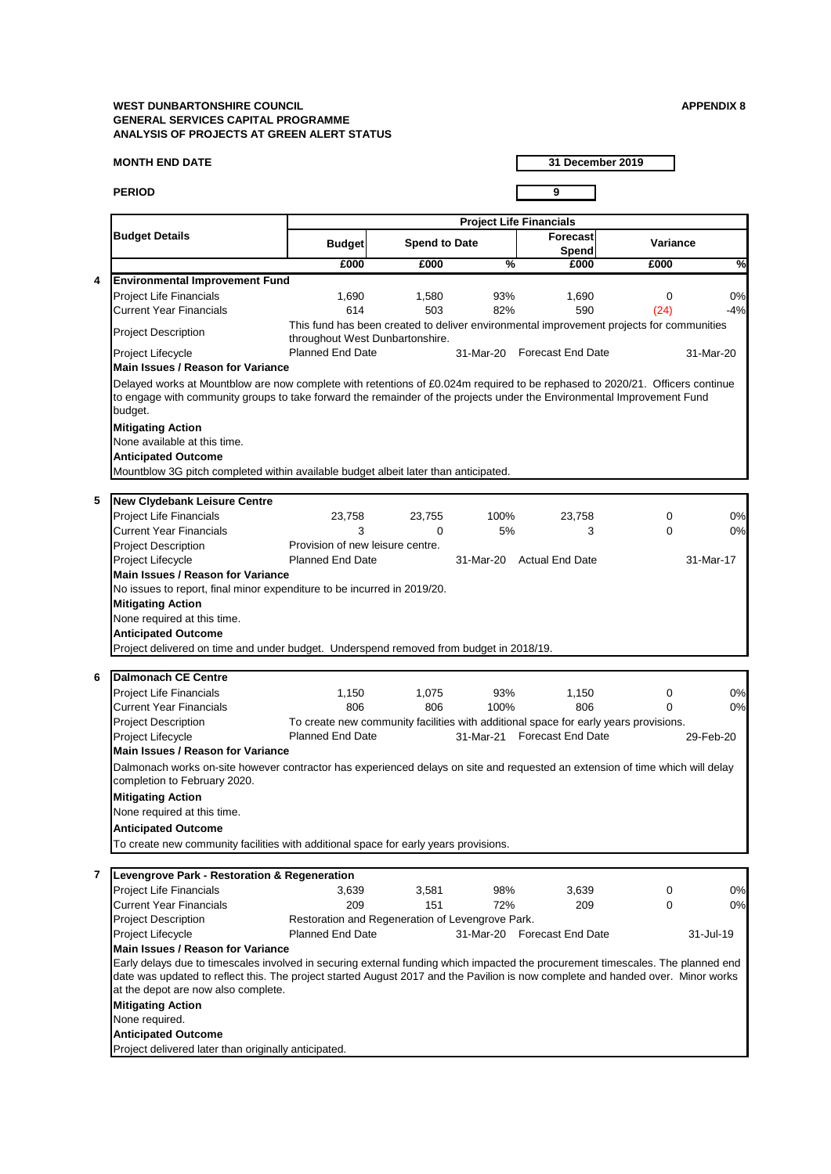#### **MONTH END DATE**

#### **PERIOD 9**

**31 December 2019**

|                                                                                                                                                                                                                                                                                                           | <b>Levengrove Park - Restoration &amp; Regeneration</b> |                                                  |       |           |                          |   |           |
|-----------------------------------------------------------------------------------------------------------------------------------------------------------------------------------------------------------------------------------------------------------------------------------------------------------|---------------------------------------------------------|--------------------------------------------------|-------|-----------|--------------------------|---|-----------|
|                                                                                                                                                                                                                                                                                                           | <b>Project Life Financials</b>                          | 3,639                                            | 3,581 | 98%       | 3,639                    | 0 | 0%        |
|                                                                                                                                                                                                                                                                                                           | <b>Current Year Financials</b>                          | 209                                              | 151   | 72%       | 209                      | 0 | 0%        |
|                                                                                                                                                                                                                                                                                                           | <b>Project Description</b>                              | Restoration and Regeneration of Levengrove Park. |       |           |                          |   |           |
|                                                                                                                                                                                                                                                                                                           | <b>Project Lifecycle</b>                                | <b>Planned End Date</b>                          |       | 31-Mar-20 | <b>Forecast End Date</b> |   | 31-Jul-19 |
|                                                                                                                                                                                                                                                                                                           | Main Issues / Reason for Variance                       |                                                  |       |           |                          |   |           |
| Early delays due to timescales involved in securing external funding which impacted the procurement timescales. The planned end<br>date was updated to reflect this. The project started August 2017 and the Pavilion is now complete and handed over. Minor works<br>at the depot are now also complete. |                                                         |                                                  |       |           |                          |   |           |
|                                                                                                                                                                                                                                                                                                           | <b>Mitigating Action</b>                                |                                                  |       |           |                          |   |           |
|                                                                                                                                                                                                                                                                                                           | None required.                                          |                                                  |       |           |                          |   |           |
|                                                                                                                                                                                                                                                                                                           | <b>Anticipated Outcome</b>                              |                                                  |       |           |                          |   |           |
|                                                                                                                                                                                                                                                                                                           | Project delivered later than originally anticipated.    |                                                  |       |           |                          |   |           |

#### **Anticipated Outcome**

To create new community facilities with additional space for early years provisions.

|                         |                                                                                                                                                                                                                                                                                                                                                             |                                  |                      |               | <b>Project Life Financials</b>                                                           |                 |               |
|-------------------------|-------------------------------------------------------------------------------------------------------------------------------------------------------------------------------------------------------------------------------------------------------------------------------------------------------------------------------------------------------------|----------------------------------|----------------------|---------------|------------------------------------------------------------------------------------------|-----------------|---------------|
|                         | <b>Budget Details</b>                                                                                                                                                                                                                                                                                                                                       | <b>Budget</b>                    | <b>Spend to Date</b> |               | <b>Forecast</b><br><b>Spend</b>                                                          | <b>Variance</b> |               |
|                         |                                                                                                                                                                                                                                                                                                                                                             | £000                             | £000                 | $\frac{9}{6}$ | £000                                                                                     | £000            | $\frac{1}{2}$ |
| 4                       | <b>Environmental Improvement Fund</b>                                                                                                                                                                                                                                                                                                                       |                                  |                      |               |                                                                                          |                 |               |
|                         | <b>Project Life Financials</b>                                                                                                                                                                                                                                                                                                                              | 1,690                            | 1,580                | 93%           | 1,690                                                                                    | $\mathbf 0$     | 0%            |
|                         | <b>Current Year Financials</b>                                                                                                                                                                                                                                                                                                                              | 614                              | 503                  | 82%           | 590                                                                                      | (24)            | $-4%$         |
|                         | <b>Project Description</b>                                                                                                                                                                                                                                                                                                                                  | throughout West Dunbartonshire.  |                      |               | This fund has been created to deliver environmental improvement projects for communities |                 |               |
|                         | Project Lifecycle                                                                                                                                                                                                                                                                                                                                           | <b>Planned End Date</b>          |                      |               | 31-Mar-20 Forecast End Date                                                              |                 | 31-Mar-20     |
|                         | <b>Main Issues / Reason for Variance</b>                                                                                                                                                                                                                                                                                                                    |                                  |                      |               |                                                                                          |                 |               |
|                         | Delayed works at Mountblow are now complete with retentions of £0.024m required to be rephased to 2020/21. Officers continue<br>to engage with community groups to take forward the remainder of the projects under the Environmental Improvement Fund<br>budget.<br><b>Mitigating Action</b><br>None available at this time.<br><b>Anticipated Outcome</b> |                                  |                      |               |                                                                                          |                 |               |
|                         | Mountblow 3G pitch completed within available budget albeit later than anticipated.                                                                                                                                                                                                                                                                         |                                  |                      |               |                                                                                          |                 |               |
|                         |                                                                                                                                                                                                                                                                                                                                                             |                                  |                      |               |                                                                                          |                 |               |
| $\overline{\mathbf{5}}$ | <b>New Clydebank Leisure Centre</b>                                                                                                                                                                                                                                                                                                                         |                                  |                      |               |                                                                                          |                 |               |
|                         | <b>Project Life Financials</b><br><b>Current Year Financials</b>                                                                                                                                                                                                                                                                                            | 23,758<br>3                      | 23,755               | 100%          | 23,758                                                                                   | 0               | 0%<br>0%      |
|                         | <b>Project Description</b>                                                                                                                                                                                                                                                                                                                                  | Provision of new leisure centre. | 0                    | 5%            | 3                                                                                        | $\mathbf 0$     |               |
|                         | <b>Project Lifecycle</b>                                                                                                                                                                                                                                                                                                                                    | <b>Planned End Date</b>          |                      |               | 31-Mar-20 Actual End Date                                                                |                 | 31-Mar-17     |
|                         | <b>Main Issues / Reason for Variance</b>                                                                                                                                                                                                                                                                                                                    |                                  |                      |               |                                                                                          |                 |               |
|                         | No issues to report, final minor expenditure to be incurred in 2019/20.                                                                                                                                                                                                                                                                                     |                                  |                      |               |                                                                                          |                 |               |
|                         | <b>Mitigating Action</b>                                                                                                                                                                                                                                                                                                                                    |                                  |                      |               |                                                                                          |                 |               |
|                         | None required at this time.                                                                                                                                                                                                                                                                                                                                 |                                  |                      |               |                                                                                          |                 |               |
|                         | <b>Anticipated Outcome</b>                                                                                                                                                                                                                                                                                                                                  |                                  |                      |               |                                                                                          |                 |               |
|                         | Project delivered on time and under budget. Underspend removed from budget in 2018/19.                                                                                                                                                                                                                                                                      |                                  |                      |               |                                                                                          |                 |               |
|                         |                                                                                                                                                                                                                                                                                                                                                             |                                  |                      |               |                                                                                          |                 |               |
| 6                       | <b>Dalmonach CE Centre</b>                                                                                                                                                                                                                                                                                                                                  |                                  |                      |               |                                                                                          |                 |               |
|                         | <b>Project Life Financials</b>                                                                                                                                                                                                                                                                                                                              | 1,150                            | 1,075                | 93%           | 1,150                                                                                    | 0               | 0%            |
|                         | <b>Current Year Financials</b>                                                                                                                                                                                                                                                                                                                              | 806                              | 806                  | 100%          | 806                                                                                      | 0               | 0%            |
|                         | <b>Project Description</b>                                                                                                                                                                                                                                                                                                                                  |                                  |                      |               | To create new community facilities with additional space for early years provisions.     |                 |               |
|                         | <b>Project Lifecycle</b>                                                                                                                                                                                                                                                                                                                                    | <b>Planned End Date</b>          |                      |               | 31-Mar-21 Forecast End Date                                                              |                 | 29-Feb-20     |
|                         | <b>Main Issues / Reason for Variance</b>                                                                                                                                                                                                                                                                                                                    |                                  |                      |               |                                                                                          |                 |               |
|                         | Dalmonach works on-site however contractor has experienced delays on site and requested an extension of time which will delay<br>completion to February 2020.                                                                                                                                                                                               |                                  |                      |               |                                                                                          |                 |               |
|                         | <b>Mitigating Action</b>                                                                                                                                                                                                                                                                                                                                    |                                  |                      |               |                                                                                          |                 |               |
|                         | None required at this time.                                                                                                                                                                                                                                                                                                                                 |                                  |                      |               |                                                                                          |                 |               |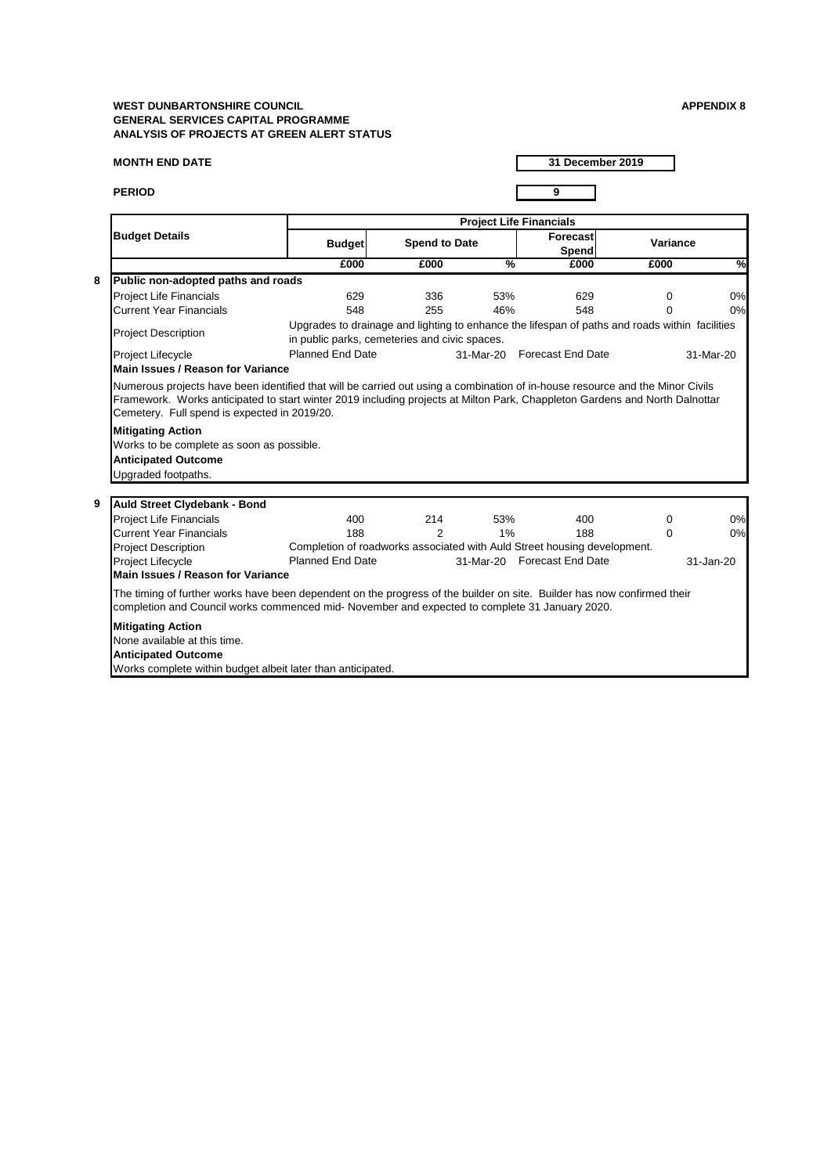# **MONTH END DATE**

**PERIOD 9**

|                                                                                                                                                                                                                           |                                                                                                                                                                                                         |                                               |                      |               | <b>Project Life Financials</b>                                           |                                                                                                |               |
|---------------------------------------------------------------------------------------------------------------------------------------------------------------------------------------------------------------------------|---------------------------------------------------------------------------------------------------------------------------------------------------------------------------------------------------------|-----------------------------------------------|----------------------|---------------|--------------------------------------------------------------------------|------------------------------------------------------------------------------------------------|---------------|
|                                                                                                                                                                                                                           | <b>Budget Details</b>                                                                                                                                                                                   | <b>Budget</b>                                 | <b>Spend to Date</b> |               | Forecast<br><b>Spend</b>                                                 | <b>Variance</b>                                                                                |               |
|                                                                                                                                                                                                                           |                                                                                                                                                                                                         | £000                                          | £000                 | $\frac{0}{6}$ | £000                                                                     | £000                                                                                           | $\frac{1}{2}$ |
| 8                                                                                                                                                                                                                         | Public non-adopted paths and roads                                                                                                                                                                      |                                               |                      |               |                                                                          |                                                                                                |               |
|                                                                                                                                                                                                                           | <b>Project Life Financials</b>                                                                                                                                                                          | 629                                           | 336                  | 53%           | 629                                                                      | $\mathbf 0$                                                                                    | 0%            |
|                                                                                                                                                                                                                           | <b>Current Year Financials</b>                                                                                                                                                                          | 548                                           | 255                  | 46%           | 548                                                                      | $\overline{0}$                                                                                 | 0%            |
|                                                                                                                                                                                                                           | <b>Project Description</b>                                                                                                                                                                              | in public parks, cemeteries and civic spaces. |                      |               |                                                                          | Upgrades to drainage and lighting to enhance the lifespan of paths and roads within facilities |               |
|                                                                                                                                                                                                                           | <b>Project Lifecycle</b>                                                                                                                                                                                | <b>Planned End Date</b>                       |                      | 31-Mar-20     | <b>Forecast End Date</b>                                                 |                                                                                                | 31-Mar-20     |
|                                                                                                                                                                                                                           | <b>Main Issues / Reason for Variance</b>                                                                                                                                                                |                                               |                      |               |                                                                          |                                                                                                |               |
|                                                                                                                                                                                                                           | Framework. Works anticipated to start winter 2019 including projects at Milton Park, Chappleton Gardens and North Dalnottar<br>Cemetery. Full spend is expected in 2019/20.<br><b>Mitigating Action</b> |                                               |                      |               |                                                                          |                                                                                                |               |
|                                                                                                                                                                                                                           | Works to be complete as soon as possible.                                                                                                                                                               |                                               |                      |               |                                                                          |                                                                                                |               |
|                                                                                                                                                                                                                           | <b>Anticipated Outcome</b>                                                                                                                                                                              |                                               |                      |               |                                                                          |                                                                                                |               |
|                                                                                                                                                                                                                           | Upgraded footpaths.                                                                                                                                                                                     |                                               |                      |               |                                                                          |                                                                                                |               |
|                                                                                                                                                                                                                           |                                                                                                                                                                                                         |                                               |                      |               |                                                                          |                                                                                                |               |
| 9                                                                                                                                                                                                                         | <b>Auld Street Clydebank - Bond</b>                                                                                                                                                                     |                                               |                      |               |                                                                          |                                                                                                |               |
|                                                                                                                                                                                                                           | <b>Project Life Financials</b>                                                                                                                                                                          | 400                                           | 214                  | 53%           | 400                                                                      | 0                                                                                              | 0%            |
|                                                                                                                                                                                                                           | <b>Current Year Financials</b>                                                                                                                                                                          | 188                                           | $\overline{2}$       | $1\%$         | 188                                                                      | $\mathbf 0$                                                                                    | 0%            |
|                                                                                                                                                                                                                           | <b>Project Description</b>                                                                                                                                                                              |                                               |                      |               | Completion of roadworks associated with Auld Street housing development. |                                                                                                |               |
|                                                                                                                                                                                                                           | <b>Project Lifecycle</b>                                                                                                                                                                                | <b>Planned End Date</b>                       |                      | 31-Mar-20     | <b>Forecast End Date</b>                                                 |                                                                                                | 31-Jan-20     |
|                                                                                                                                                                                                                           | <b>Main Issues / Reason for Variance</b>                                                                                                                                                                |                                               |                      |               |                                                                          |                                                                                                |               |
| The timing of further works have been dependent on the progress of the builder on site. Builder has now confirmed their<br>completion and Council works commenced mid- November and expected to complete 31 January 2020. |                                                                                                                                                                                                         |                                               |                      |               |                                                                          |                                                                                                |               |
|                                                                                                                                                                                                                           | <b>Mitigating Action</b><br>None available at this time.                                                                                                                                                |                                               |                      |               |                                                                          |                                                                                                |               |
|                                                                                                                                                                                                                           | <b>Anticipated Outcome</b>                                                                                                                                                                              |                                               |                      |               |                                                                          |                                                                                                |               |
|                                                                                                                                                                                                                           | Works complete within budget albeit later than anticipated.                                                                                                                                             |                                               |                      |               |                                                                          |                                                                                                |               |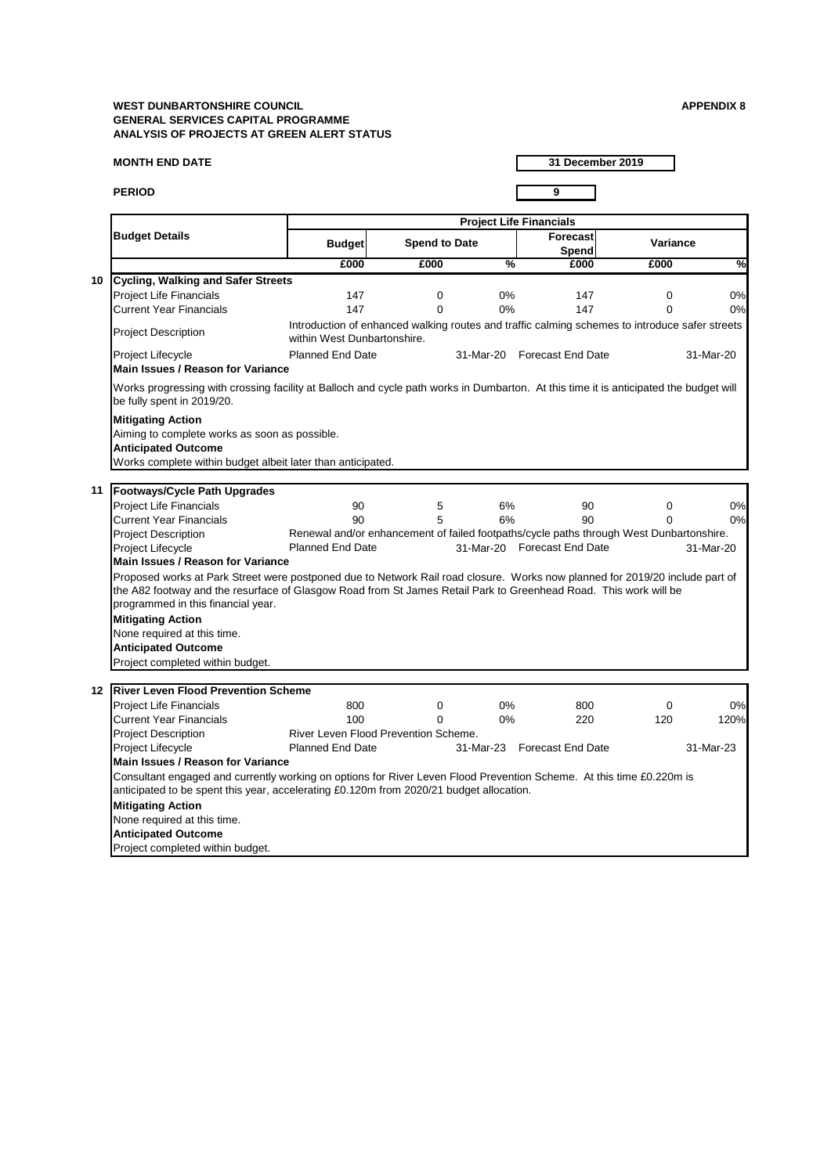#### **MONTH END DATE**

**PERIOD 9**

**31 December 2019**

None required at this time. **Anticipated Outcome** Project completed within budget.

|                                                                                                                           |                                                                                                                                                                                                                                                  | <b>Project Life Financials</b> |               |                                                                                                |          |           |  |  |  |
|---------------------------------------------------------------------------------------------------------------------------|--------------------------------------------------------------------------------------------------------------------------------------------------------------------------------------------------------------------------------------------------|--------------------------------|---------------|------------------------------------------------------------------------------------------------|----------|-----------|--|--|--|
| <b>Budget Details</b>                                                                                                     | <b>Budget</b>                                                                                                                                                                                                                                    | <b>Spend to Date</b>           |               | Forecast<br><b>Spend</b>                                                                       | Variance |           |  |  |  |
|                                                                                                                           | £000                                                                                                                                                                                                                                             | £000                           | $\frac{0}{6}$ | £000                                                                                           | £000     | %         |  |  |  |
| Cycling, Walking and Safer Streets<br>10                                                                                  |                                                                                                                                                                                                                                                  |                                |               |                                                                                                |          |           |  |  |  |
| <b>Project Life Financials</b>                                                                                            | 147                                                                                                                                                                                                                                              | $\mathbf 0$                    | $0\%$         | 147                                                                                            | 0        | 0%        |  |  |  |
| <b>Current Year Financials</b>                                                                                            | 147                                                                                                                                                                                                                                              | $\Omega$                       | $0\%$         | 147                                                                                            | 0        | 0%        |  |  |  |
| <b>Project Description</b>                                                                                                | within West Dunbartonshire.                                                                                                                                                                                                                      |                                |               | Introduction of enhanced walking routes and traffic calming schemes to introduce safer streets |          |           |  |  |  |
| Project Lifecycle<br><b>Main Issues / Reason for Variance</b>                                                             | <b>Planned End Date</b>                                                                                                                                                                                                                          |                                |               | 31-Mar-20 Forecast End Date                                                                    |          | 31-Mar-20 |  |  |  |
| be fully spent in 2019/20.                                                                                                | Works progressing with crossing facility at Balloch and cycle path works in Dumbarton. At this time it is anticipated the budget will                                                                                                            |                                |               |                                                                                                |          |           |  |  |  |
| <b>Mitigating Action</b><br>Aiming to complete works as soon as possible.<br><b>Anticipated Outcome</b>                   | Works complete within budget albeit later than anticipated.                                                                                                                                                                                      |                                |               |                                                                                                |          |           |  |  |  |
| <b>Footways/Cycle Path Upgrades</b><br>11                                                                                 |                                                                                                                                                                                                                                                  |                                |               |                                                                                                |          |           |  |  |  |
| <b>Project Life Financials</b>                                                                                            | 90                                                                                                                                                                                                                                               | 5                              | 6%            | 90                                                                                             | 0        | 0%        |  |  |  |
| <b>Current Year Financials</b>                                                                                            | 90                                                                                                                                                                                                                                               | 5                              | 6%            | 90                                                                                             |          | 0%        |  |  |  |
| <b>Project Description</b>                                                                                                |                                                                                                                                                                                                                                                  |                                |               | Renewal and/or enhancement of failed footpaths/cycle paths through West Dunbartonshire.        |          |           |  |  |  |
| <b>Project Lifecycle</b>                                                                                                  | <b>Planned End Date</b>                                                                                                                                                                                                                          |                                |               | 31-Mar-20 Forecast End Date                                                                    |          | 31-Mar-20 |  |  |  |
| <b>Main Issues / Reason for Variance</b>                                                                                  |                                                                                                                                                                                                                                                  |                                |               |                                                                                                |          |           |  |  |  |
| programmed in this financial year.                                                                                        | Proposed works at Park Street were postponed due to Network Rail road closure. Works now planned for 2019/20 include part of<br>the A82 footway and the resurface of Glasgow Road from St James Retail Park to Greenhead Road. This work will be |                                |               |                                                                                                |          |           |  |  |  |
| <b>Mitigating Action</b><br>None required at this time.<br><b>Anticipated Outcome</b><br>Project completed within budget. |                                                                                                                                                                                                                                                  |                                |               |                                                                                                |          |           |  |  |  |
| <b>River Leven Flood Prevention Scheme</b><br>$12 \,$                                                                     |                                                                                                                                                                                                                                                  |                                |               |                                                                                                |          |           |  |  |  |
| <b>Project Life Financials</b>                                                                                            | 800                                                                                                                                                                                                                                              | 0                              | 0%            | 800                                                                                            | 0        | 0%        |  |  |  |
| <b>Current Year Financials</b>                                                                                            | 100                                                                                                                                                                                                                                              | $\Omega$                       | $0\%$         | 220                                                                                            | 120      | 120%      |  |  |  |
| <b>Project Description</b>                                                                                                | River Leven Flood Prevention Scheme.                                                                                                                                                                                                             |                                |               |                                                                                                |          |           |  |  |  |
| <b>Project Lifecycle</b>                                                                                                  | <b>Planned End Date</b>                                                                                                                                                                                                                          |                                |               | 31-Mar-23 Forecast End Date                                                                    |          | 31-Mar-23 |  |  |  |
| <b>Main Issues / Reason for Variance</b>                                                                                  |                                                                                                                                                                                                                                                  |                                |               |                                                                                                |          |           |  |  |  |
| <b>Mitigating Action</b>                                                                                                  | Consultant engaged and currently working on options for River Leven Flood Prevention Scheme. At this time £0.220m is<br>anticipated to be spent this year, accelerating £0.120m from 2020/21 budget allocation.                                  |                                |               |                                                                                                |          |           |  |  |  |
|                                                                                                                           |                                                                                                                                                                                                                                                  |                                |               |                                                                                                |          |           |  |  |  |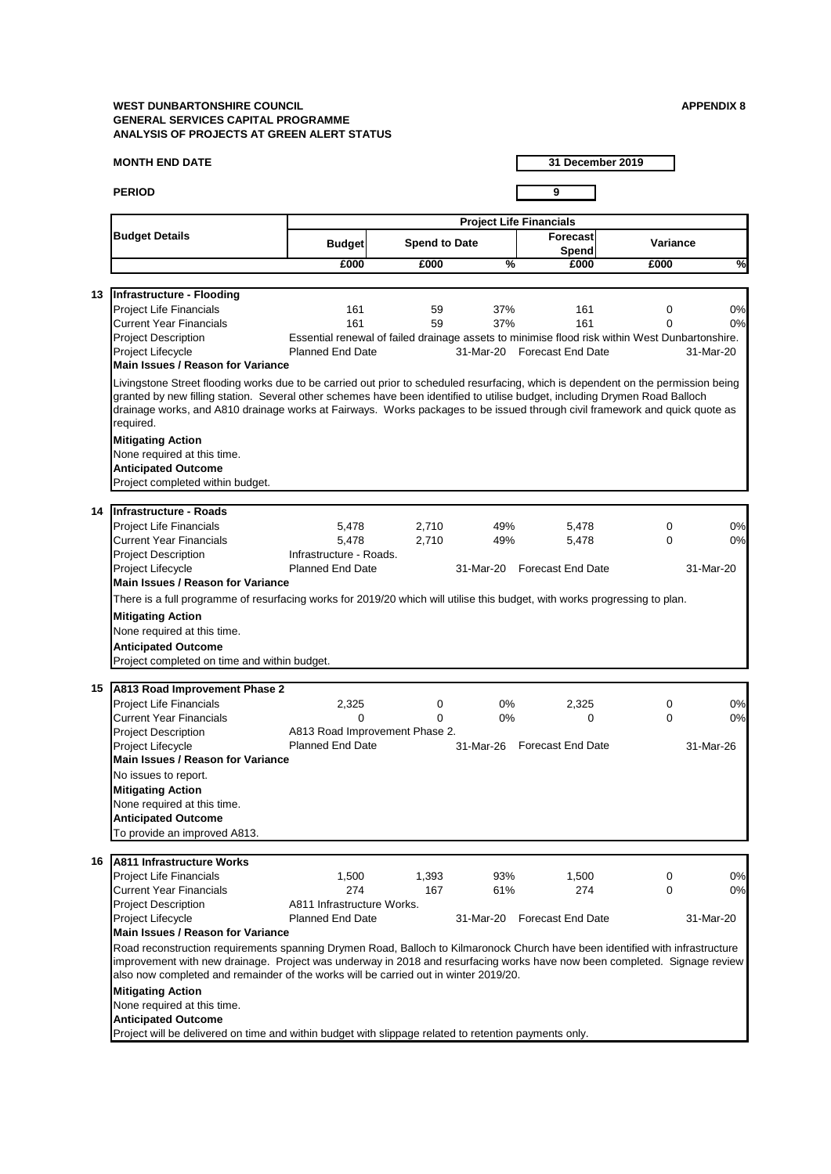#### **MONTH END DATE**

**PERIOD 9**

**31 December 2019**

Road reconstruction requirements spanning Drymen Road, Balloch to Kilmaronock Church have been identified with infrastructure improvement with new drainage. Project was underway in 2018 and resurfacing works have now been completed. Signage review also now completed and remainder of the works will be carried out in winter 2019/20.

| 16   A811 Infrastructure Works    |                            |       |           |                          |           |
|-----------------------------------|----------------------------|-------|-----------|--------------------------|-----------|
| <b>Project Life Financials</b>    | .500                       | 1,393 | 93%       | .500                     | 0%        |
| <b>Current Year Financials</b>    | 274                        | 167   | 61%       | 274                      | 0%        |
| <b>Project Description</b>        | A811 Infrastructure Works. |       |           |                          |           |
| <b>Project Lifecycle</b>          | <b>Planned End Date</b>    |       | 31-Mar-20 | <b>Forecast End Date</b> | 31-Mar-20 |
| Main Issues / Reason for Variance |                            |       |           |                          |           |

# **Mitigating Action**

None required at this time.

# **Anticipated Outcome**

Project will be delivered on time and within budget with slippage related to retention payments only.

#### **Anticipated Outcome**

To provide an improved A813.

|    |                                                                                                                                                                                                                                                                                                                                                                                                               |                                |                      |               | <b>Project Life Financials</b>                                                                 |                 |           |
|----|---------------------------------------------------------------------------------------------------------------------------------------------------------------------------------------------------------------------------------------------------------------------------------------------------------------------------------------------------------------------------------------------------------------|--------------------------------|----------------------|---------------|------------------------------------------------------------------------------------------------|-----------------|-----------|
|    | <b>Budget Details</b>                                                                                                                                                                                                                                                                                                                                                                                         | <b>Budget</b>                  | <b>Spend to Date</b> |               | <b>Forecast</b><br><b>Spend</b>                                                                | <b>Variance</b> |           |
|    |                                                                                                                                                                                                                                                                                                                                                                                                               | £000                           | £000                 | $\frac{0}{0}$ | £000                                                                                           | £000            | %         |
|    |                                                                                                                                                                                                                                                                                                                                                                                                               |                                |                      |               |                                                                                                |                 |           |
| 13 | Infrastructure - Flooding                                                                                                                                                                                                                                                                                                                                                                                     |                                |                      |               |                                                                                                |                 |           |
|    | <b>Project Life Financials</b>                                                                                                                                                                                                                                                                                                                                                                                | 161                            | 59                   | 37%           | 161                                                                                            | $\mathbf 0$     | 0%        |
|    | <b>Current Year Financials</b>                                                                                                                                                                                                                                                                                                                                                                                | 161                            | 59                   | 37%           | 161                                                                                            | 0               | 0%        |
|    | <b>Project Description</b>                                                                                                                                                                                                                                                                                                                                                                                    |                                |                      |               | Essential renewal of failed drainage assets to minimise flood risk within West Dunbartonshire. |                 |           |
|    | <b>Project Lifecycle</b>                                                                                                                                                                                                                                                                                                                                                                                      | <b>Planned End Date</b>        |                      |               | 31-Mar-20 Forecast End Date                                                                    |                 | 31-Mar-20 |
|    | <b>Main Issues / Reason for Variance</b>                                                                                                                                                                                                                                                                                                                                                                      |                                |                      |               |                                                                                                |                 |           |
|    | Livingstone Street flooding works due to be carried out prior to scheduled resurfacing, which is dependent on the permission being<br>granted by new filling station. Several other schemes have been identified to utilise budget, including Drymen Road Balloch<br>drainage works, and A810 drainage works at Fairways. Works packages to be issued through civil framework and quick quote as<br>required. |                                |                      |               |                                                                                                |                 |           |
|    | <b>Mitigating Action</b>                                                                                                                                                                                                                                                                                                                                                                                      |                                |                      |               |                                                                                                |                 |           |
|    | None required at this time.                                                                                                                                                                                                                                                                                                                                                                                   |                                |                      |               |                                                                                                |                 |           |
|    | <b>Anticipated Outcome</b>                                                                                                                                                                                                                                                                                                                                                                                    |                                |                      |               |                                                                                                |                 |           |
|    | Project completed within budget.                                                                                                                                                                                                                                                                                                                                                                              |                                |                      |               |                                                                                                |                 |           |
|    |                                                                                                                                                                                                                                                                                                                                                                                                               |                                |                      |               |                                                                                                |                 |           |
| 14 | Infrastructure - Roads                                                                                                                                                                                                                                                                                                                                                                                        |                                |                      |               |                                                                                                |                 |           |
|    | <b>Project Life Financials</b>                                                                                                                                                                                                                                                                                                                                                                                | 5,478                          | 2,710                | 49%           | 5,478                                                                                          | $\mathbf 0$     | 0%        |
|    | <b>Current Year Financials</b>                                                                                                                                                                                                                                                                                                                                                                                | 5,478                          | 2,710                | 49%           | 5,478                                                                                          | $\mathbf 0$     | 0%        |
|    | <b>Project Description</b>                                                                                                                                                                                                                                                                                                                                                                                    | Infrastructure - Roads.        |                      |               |                                                                                                |                 |           |
|    | <b>Project Lifecycle</b>                                                                                                                                                                                                                                                                                                                                                                                      | <b>Planned End Date</b>        |                      | 31-Mar-20     | <b>Forecast End Date</b>                                                                       |                 | 31-Mar-20 |
|    | <b>Main Issues / Reason for Variance</b>                                                                                                                                                                                                                                                                                                                                                                      |                                |                      |               |                                                                                                |                 |           |
|    | There is a full programme of resurfacing works for 2019/20 which will utilise this budget, with works progressing to plan.                                                                                                                                                                                                                                                                                    |                                |                      |               |                                                                                                |                 |           |
|    | <b>Mitigating Action</b>                                                                                                                                                                                                                                                                                                                                                                                      |                                |                      |               |                                                                                                |                 |           |
|    | None required at this time.                                                                                                                                                                                                                                                                                                                                                                                   |                                |                      |               |                                                                                                |                 |           |
|    | <b>Anticipated Outcome</b>                                                                                                                                                                                                                                                                                                                                                                                    |                                |                      |               |                                                                                                |                 |           |
|    | Project completed on time and within budget.                                                                                                                                                                                                                                                                                                                                                                  |                                |                      |               |                                                                                                |                 |           |
|    |                                                                                                                                                                                                                                                                                                                                                                                                               |                                |                      |               |                                                                                                |                 |           |
| 15 | A813 Road Improvement Phase 2                                                                                                                                                                                                                                                                                                                                                                                 |                                |                      |               |                                                                                                |                 |           |
|    | <b>Project Life Financials</b>                                                                                                                                                                                                                                                                                                                                                                                | 2,325                          | $\mathbf 0$          | $0\%$         | 2,325                                                                                          | 0               | 0%        |
|    | <b>Current Year Financials</b>                                                                                                                                                                                                                                                                                                                                                                                | $\Omega$                       | $\Omega$             | 0%            | 0                                                                                              | $\mathbf 0$     | 0%        |
|    | <b>Project Description</b>                                                                                                                                                                                                                                                                                                                                                                                    | A813 Road Improvement Phase 2. |                      |               |                                                                                                |                 |           |
|    | <b>Project Lifecycle</b>                                                                                                                                                                                                                                                                                                                                                                                      | <b>Planned End Date</b>        |                      | 31-Mar-26     | <b>Forecast End Date</b>                                                                       |                 | 31-Mar-26 |
|    | <b>Main Issues / Reason for Variance</b>                                                                                                                                                                                                                                                                                                                                                                      |                                |                      |               |                                                                                                |                 |           |
|    | No issues to report.                                                                                                                                                                                                                                                                                                                                                                                          |                                |                      |               |                                                                                                |                 |           |
|    | <b>Mitigating Action</b>                                                                                                                                                                                                                                                                                                                                                                                      |                                |                      |               |                                                                                                |                 |           |
|    | None required at this time.                                                                                                                                                                                                                                                                                                                                                                                   |                                |                      |               |                                                                                                |                 |           |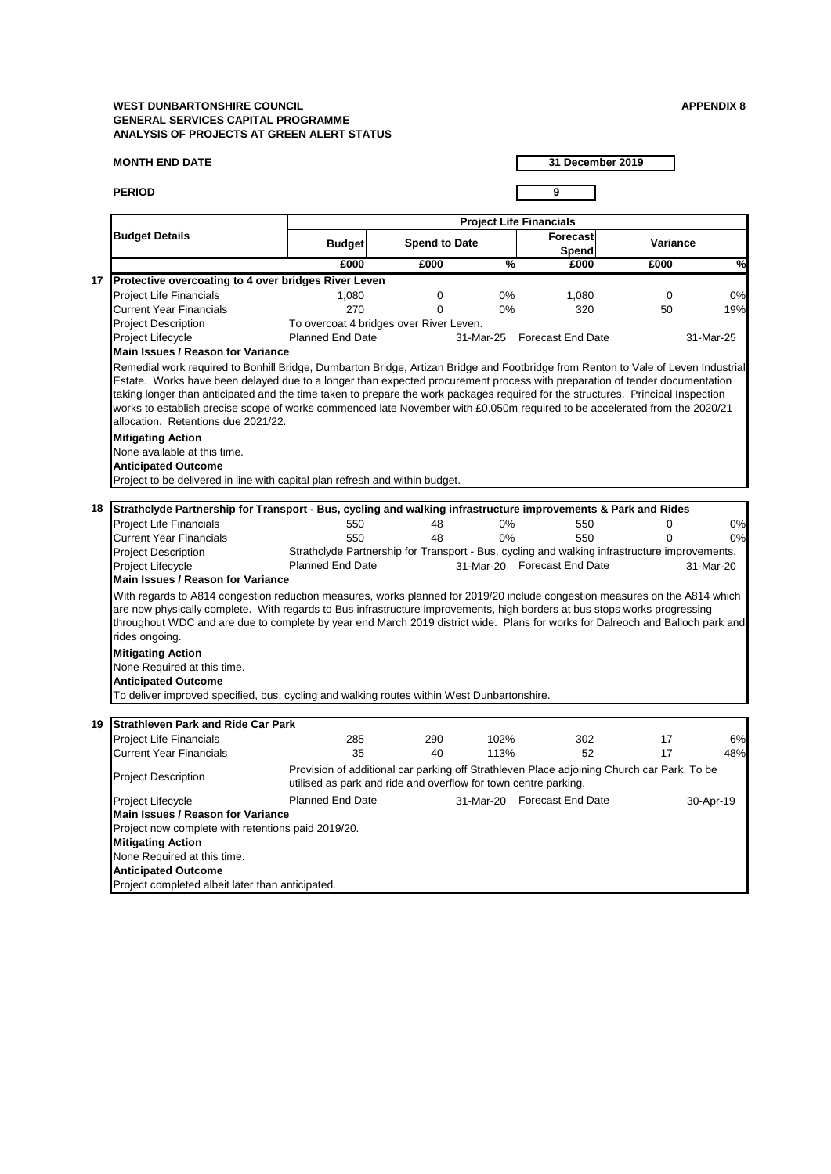#### **MONTH END DATE**

**PERIOD 9**

**31 December 2019**

**Mitigating Action** None Required at this time. **Anticipated Outcome** Project completed albeit later than anticipated. **Main Issues / Reason for Variance**  Project now complete with retentions paid 2019/20.

|                                                        |                                           |                                                                                                                                                                                                                                                                                                                                                                                              |                      | <b>Project Life Financials</b> |                                                                                               |                 |               |
|--------------------------------------------------------|-------------------------------------------|----------------------------------------------------------------------------------------------------------------------------------------------------------------------------------------------------------------------------------------------------------------------------------------------------------------------------------------------------------------------------------------------|----------------------|--------------------------------|-----------------------------------------------------------------------------------------------|-----------------|---------------|
| <b>Budget Details</b>                                  |                                           | <b>Budget</b>                                                                                                                                                                                                                                                                                                                                                                                | <b>Spend to Date</b> |                                | Forecast<br><b>Spend</b>                                                                      | <b>Variance</b> |               |
|                                                        |                                           | £000                                                                                                                                                                                                                                                                                                                                                                                         | £000                 | $\frac{0}{6}$                  | £000                                                                                          | £000            | $\frac{1}{2}$ |
| 17                                                     |                                           | <b>Protective overcoating to 4 over bridges River Leven</b>                                                                                                                                                                                                                                                                                                                                  |                      |                                |                                                                                               |                 |               |
| <b>Project Life Financials</b>                         |                                           | 1,080                                                                                                                                                                                                                                                                                                                                                                                        | 0                    | $0\%$                          | 1,080                                                                                         | 0               | 0%            |
| <b>Current Year Financials</b>                         |                                           | 270                                                                                                                                                                                                                                                                                                                                                                                          | 0                    | $0\%$                          | 320                                                                                           | 50              | 19%           |
| <b>Project Description</b>                             |                                           | To overcoat 4 bridges over River Leven.                                                                                                                                                                                                                                                                                                                                                      |                      |                                |                                                                                               |                 |               |
| Project Lifecycle                                      |                                           | <b>Planned End Date</b>                                                                                                                                                                                                                                                                                                                                                                      |                      | 31-Mar-25                      | <b>Forecast End Date</b>                                                                      |                 | 31-Mar-25     |
|                                                        | <b>Main Issues / Reason for Variance</b>  |                                                                                                                                                                                                                                                                                                                                                                                              |                      |                                |                                                                                               |                 |               |
|                                                        | allocation. Retentions due 2021/22.       | Estate. Works have been delayed due to a longer than expected procurement process with preparation of tender documentation<br>taking longer than anticipated and the time taken to prepare the work packages required for the structures. Principal Inspection<br>works to establish precise scope of works commenced late November with £0.050m required to be accelerated from the 2020/21 |                      |                                |                                                                                               |                 |               |
| <b>Mitigating Action</b>                               | None available at this time.              |                                                                                                                                                                                                                                                                                                                                                                                              |                      |                                |                                                                                               |                 |               |
| <b>Anticipated Outcome</b>                             |                                           |                                                                                                                                                                                                                                                                                                                                                                                              |                      |                                |                                                                                               |                 |               |
|                                                        |                                           | Project to be delivered in line with capital plan refresh and within budget.                                                                                                                                                                                                                                                                                                                 |                      |                                |                                                                                               |                 |               |
|                                                        |                                           |                                                                                                                                                                                                                                                                                                                                                                                              |                      |                                |                                                                                               |                 |               |
| 18                                                     |                                           | Strathclyde Partnership for Transport - Bus, cycling and walking infrastructure improvements & Park and Rides                                                                                                                                                                                                                                                                                |                      |                                |                                                                                               |                 |               |
| <b>Project Life Financials</b>                         |                                           | 550                                                                                                                                                                                                                                                                                                                                                                                          | 48                   | $0\%$                          | 550                                                                                           | 0               | 0%            |
| <b>Current Year Financials</b>                         |                                           | 550                                                                                                                                                                                                                                                                                                                                                                                          | 48                   | $0\%$                          | 550                                                                                           | O               | 0%            |
| <b>Project Description</b>                             |                                           |                                                                                                                                                                                                                                                                                                                                                                                              |                      |                                | Strathclyde Partnership for Transport - Bus, cycling and walking infrastructure improvements. |                 |               |
| <b>Project Lifecycle</b>                               |                                           | <b>Planned End Date</b>                                                                                                                                                                                                                                                                                                                                                                      |                      |                                | 31-Mar-20 Forecast End Date                                                                   |                 | 31-Mar-20     |
|                                                        | <b>Main Issues / Reason for Variance</b>  |                                                                                                                                                                                                                                                                                                                                                                                              |                      |                                |                                                                                               |                 |               |
| rides ongoing.                                         |                                           | With regards to A814 congestion reduction measures, works planned for 2019/20 include congestion measures on the A814 which<br>are now physically complete. With regards to Bus infrastructure improvements, high borders at bus stops works progressing<br>throughout WDC and are due to complete by year end March 2019 district wide. Plans for works for Dalreoch and Balloch park and   |                      |                                |                                                                                               |                 |               |
| <b>Mitigating Action</b><br><b>Anticipated Outcome</b> | None Required at this time.               |                                                                                                                                                                                                                                                                                                                                                                                              |                      |                                |                                                                                               |                 |               |
|                                                        |                                           | To deliver improved specified, bus, cycling and walking routes within West Dunbartonshire.                                                                                                                                                                                                                                                                                                   |                      |                                |                                                                                               |                 |               |
|                                                        |                                           |                                                                                                                                                                                                                                                                                                                                                                                              |                      |                                |                                                                                               |                 |               |
| 19                                                     | <b>Strathleven Park and Ride Car Park</b> |                                                                                                                                                                                                                                                                                                                                                                                              |                      |                                |                                                                                               |                 |               |
| <b>Project Life Financials</b>                         |                                           | 285                                                                                                                                                                                                                                                                                                                                                                                          | 290                  | 102%                           | 302                                                                                           | 17              | 6%            |
| <b>Current Year Financials</b>                         |                                           | 35                                                                                                                                                                                                                                                                                                                                                                                           | 40                   | 113%                           | 52                                                                                            | 17              | 48%           |
| <b>Project Description</b>                             |                                           | utilised as park and ride and overflow for town centre parking.                                                                                                                                                                                                                                                                                                                              |                      |                                | Provision of additional car parking off Strathleven Place adjoining Church car Park. To be    |                 |               |
| Project Lifecycle                                      |                                           | <b>Planned End Date</b>                                                                                                                                                                                                                                                                                                                                                                      |                      |                                | 31-Mar-20 Forecast End Date                                                                   |                 | 30-Apr-19     |

Planned End Date Forecast End Date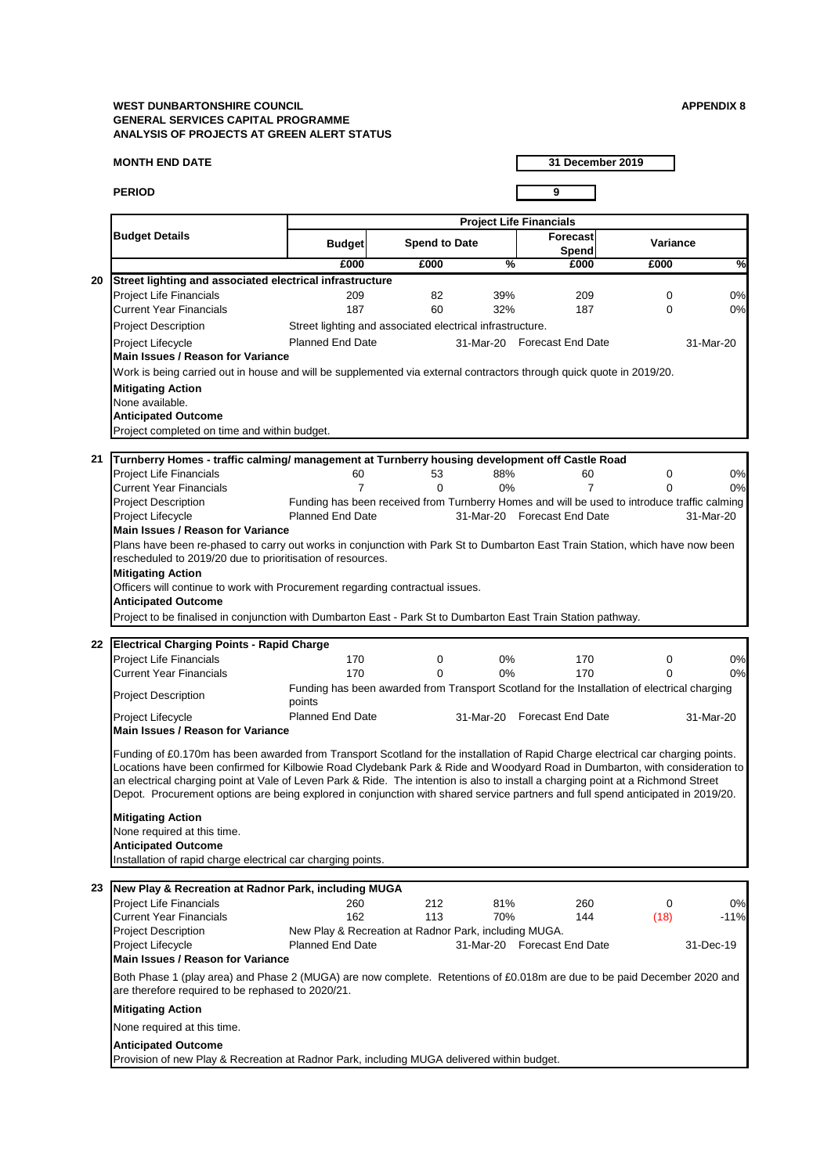#### **MONTH END DATE**

**PERIOD 9**

**31 December 2019**

| 23                                                                                                                                                                            | New Play & Recreation at Radnor Park, including MUGA                                       |                         |     |     |                             |          |           |
|-------------------------------------------------------------------------------------------------------------------------------------------------------------------------------|--------------------------------------------------------------------------------------------|-------------------------|-----|-----|-----------------------------|----------|-----------|
|                                                                                                                                                                               | <b>Project Life Financials</b>                                                             | 260                     | 212 | 81% | 260                         | $\Omega$ | 0%        |
|                                                                                                                                                                               | <b>Current Year Financials</b>                                                             | 162                     | 113 | 70% | 144                         | (18)     | $-11%$    |
|                                                                                                                                                                               | New Play & Recreation at Radnor Park, including MUGA.<br><b>Project Description</b>        |                         |     |     |                             |          |           |
|                                                                                                                                                                               | <b>Project Lifecycle</b>                                                                   | <b>Planned End Date</b> |     |     | 31-Mar-20 Forecast End Date |          | 31-Dec-19 |
|                                                                                                                                                                               | <b>IMain Issues / Reason for Variance</b>                                                  |                         |     |     |                             |          |           |
| Both Phase 1 (play area) and Phase 2 (MUGA) are now complete. Retentions of £0.018m are due to be paid December 2020 and<br>are therefore required to be rephased to 2020/21. |                                                                                            |                         |     |     |                             |          |           |
|                                                                                                                                                                               | <b>Mitigating Action</b>                                                                   |                         |     |     |                             |          |           |
|                                                                                                                                                                               | None required at this time.                                                                |                         |     |     |                             |          |           |
|                                                                                                                                                                               | <b>Anticipated Outcome</b>                                                                 |                         |     |     |                             |          |           |
|                                                                                                                                                                               | Provision of new Play & Recreation at Radnor Park, including MUGA delivered within budget. |                         |     |     |                             |          |           |

# **Mitigating Action** None required at this time. **Anticipated Outcome** Installation of rapid charge electrical car charging points.

|    |                                                                                                                                                                                                                                                                                                                                                                                                                                                                                                                                                                      |                                                           |                      |               | <b>Project Life Financials</b>                                                               |                 |               |
|----|----------------------------------------------------------------------------------------------------------------------------------------------------------------------------------------------------------------------------------------------------------------------------------------------------------------------------------------------------------------------------------------------------------------------------------------------------------------------------------------------------------------------------------------------------------------------|-----------------------------------------------------------|----------------------|---------------|----------------------------------------------------------------------------------------------|-----------------|---------------|
|    | <b>Budget Details</b>                                                                                                                                                                                                                                                                                                                                                                                                                                                                                                                                                | <b>Budget</b>                                             | <b>Spend to Date</b> |               | Forecast<br>Spend                                                                            | <b>Variance</b> |               |
|    |                                                                                                                                                                                                                                                                                                                                                                                                                                                                                                                                                                      | £000                                                      | £000                 | $\frac{1}{2}$ | £000                                                                                         | £000            | $\frac{1}{2}$ |
| 20 | Street lighting and associated electrical infrastructure                                                                                                                                                                                                                                                                                                                                                                                                                                                                                                             |                                                           |                      |               |                                                                                              |                 |               |
|    | <b>Project Life Financials</b>                                                                                                                                                                                                                                                                                                                                                                                                                                                                                                                                       | 209                                                       | 82                   | 39%           | 209                                                                                          | $\overline{0}$  | 0%            |
|    | <b>Current Year Financials</b>                                                                                                                                                                                                                                                                                                                                                                                                                                                                                                                                       | 187                                                       | 60                   | 32%           | 187                                                                                          | $\mathbf 0$     | 0%            |
|    | <b>Project Description</b>                                                                                                                                                                                                                                                                                                                                                                                                                                                                                                                                           | Street lighting and associated electrical infrastructure. |                      |               |                                                                                              |                 |               |
|    | Project Lifecycle                                                                                                                                                                                                                                                                                                                                                                                                                                                                                                                                                    | <b>Planned End Date</b>                                   |                      |               | 31-Mar-20 Forecast End Date                                                                  |                 | 31-Mar-20     |
|    | <b>Main Issues / Reason for Variance</b>                                                                                                                                                                                                                                                                                                                                                                                                                                                                                                                             |                                                           |                      |               |                                                                                              |                 |               |
|    | Work is being carried out in house and will be supplemented via external contractors through quick quote in 2019/20.                                                                                                                                                                                                                                                                                                                                                                                                                                                 |                                                           |                      |               |                                                                                              |                 |               |
|    | <b>Mitigating Action</b>                                                                                                                                                                                                                                                                                                                                                                                                                                                                                                                                             |                                                           |                      |               |                                                                                              |                 |               |
|    | None available.                                                                                                                                                                                                                                                                                                                                                                                                                                                                                                                                                      |                                                           |                      |               |                                                                                              |                 |               |
|    | <b>Anticipated Outcome</b>                                                                                                                                                                                                                                                                                                                                                                                                                                                                                                                                           |                                                           |                      |               |                                                                                              |                 |               |
|    | Project completed on time and within budget.                                                                                                                                                                                                                                                                                                                                                                                                                                                                                                                         |                                                           |                      |               |                                                                                              |                 |               |
|    |                                                                                                                                                                                                                                                                                                                                                                                                                                                                                                                                                                      |                                                           |                      |               |                                                                                              |                 |               |
| 21 | Turnberry Homes - traffic calming/ management at Turnberry housing development off Castle Road                                                                                                                                                                                                                                                                                                                                                                                                                                                                       |                                                           |                      |               |                                                                                              |                 |               |
|    | <b>Project Life Financials</b>                                                                                                                                                                                                                                                                                                                                                                                                                                                                                                                                       | 60                                                        | 53                   | 88%           | 60                                                                                           | 0               | 0%            |
|    | <b>Current Year Financials</b>                                                                                                                                                                                                                                                                                                                                                                                                                                                                                                                                       | 7                                                         | $\Omega$             | 0%            |                                                                                              | 0               | 0%            |
|    | <b>Project Description</b>                                                                                                                                                                                                                                                                                                                                                                                                                                                                                                                                           |                                                           |                      |               | Funding has been received from Turnberry Homes and will be used to introduce traffic calming |                 |               |
|    | Project Lifecycle                                                                                                                                                                                                                                                                                                                                                                                                                                                                                                                                                    | <b>Planned End Date</b>                                   |                      |               | 31-Mar-20 Forecast End Date                                                                  |                 | 31-Mar-20     |
|    | <b>Main Issues / Reason for Variance</b>                                                                                                                                                                                                                                                                                                                                                                                                                                                                                                                             |                                                           |                      |               |                                                                                              |                 |               |
|    | Plans have been re-phased to carry out works in conjunction with Park St to Dumbarton East Train Station, which have now been<br>rescheduled to 2019/20 due to prioritisation of resources.                                                                                                                                                                                                                                                                                                                                                                          |                                                           |                      |               |                                                                                              |                 |               |
|    | <b>Mitigating Action</b>                                                                                                                                                                                                                                                                                                                                                                                                                                                                                                                                             |                                                           |                      |               |                                                                                              |                 |               |
|    | Officers will continue to work with Procurement regarding contractual issues.                                                                                                                                                                                                                                                                                                                                                                                                                                                                                        |                                                           |                      |               |                                                                                              |                 |               |
|    | <b>Anticipated Outcome</b>                                                                                                                                                                                                                                                                                                                                                                                                                                                                                                                                           |                                                           |                      |               |                                                                                              |                 |               |
|    | Project to be finalised in conjunction with Dumbarton East - Park St to Dumbarton East Train Station pathway.                                                                                                                                                                                                                                                                                                                                                                                                                                                        |                                                           |                      |               |                                                                                              |                 |               |
|    |                                                                                                                                                                                                                                                                                                                                                                                                                                                                                                                                                                      |                                                           |                      |               |                                                                                              |                 |               |
| 22 | <b>Electrical Charging Points - Rapid Charge</b>                                                                                                                                                                                                                                                                                                                                                                                                                                                                                                                     |                                                           |                      |               |                                                                                              |                 |               |
|    | <b>Project Life Financials</b>                                                                                                                                                                                                                                                                                                                                                                                                                                                                                                                                       | 170                                                       | $\mathbf 0$          | 0%            | 170                                                                                          | 0               | 0%            |
|    | <b>Current Year Financials</b>                                                                                                                                                                                                                                                                                                                                                                                                                                                                                                                                       | 170                                                       | $\Omega$             | $0\%$         | 170                                                                                          | 0               | 0%            |
|    | <b>Project Description</b>                                                                                                                                                                                                                                                                                                                                                                                                                                                                                                                                           | points                                                    |                      |               | Funding has been awarded from Transport Scotland for the Installation of electrical charging |                 |               |
|    | Project Lifecycle<br><b>Main Issues / Reason for Variance</b>                                                                                                                                                                                                                                                                                                                                                                                                                                                                                                        | <b>Planned End Date</b>                                   |                      |               | 31-Mar-20 Forecast End Date                                                                  |                 | 31-Mar-20     |
|    | Funding of £0.170m has been awarded from Transport Scotland for the installation of Rapid Charge electrical car charging points.<br>Locations have been confirmed for Kilbowie Road Clydebank Park & Ride and Woodyard Road in Dumbarton, with consideration to<br>an electrical charging point at Vale of Leven Park & Ride. The intention is also to install a charging point at a Richmond Street<br>Depot. Procurement options are being explored in conjunction with shared service partners and full spend anticipated in 2019/20.<br><b>Mitigating Action</b> |                                                           |                      |               |                                                                                              |                 |               |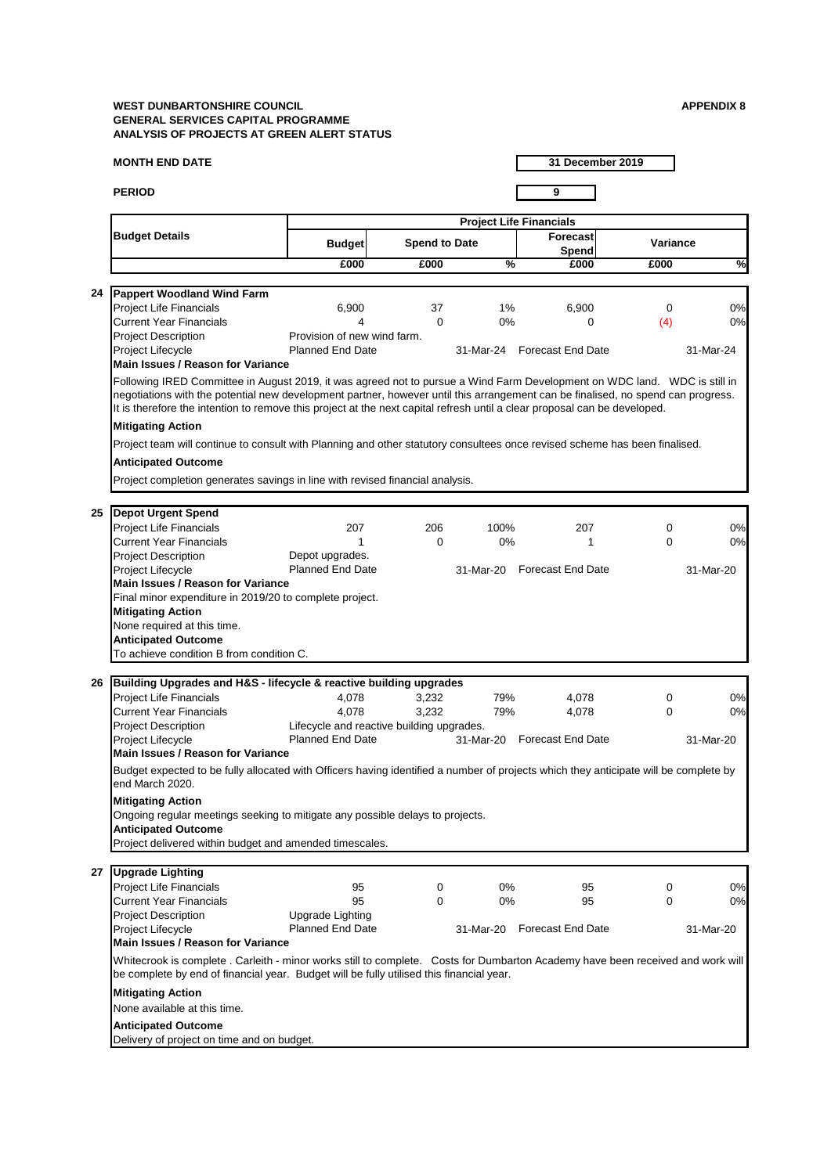#### **MONTH END DATE**

**PERIOD 9**

**31 December 2019**

| 27 | <b>Upgrade Lighting</b>                                                                                                                                                                                                    |                         |   |           |                          |             |           |
|----|----------------------------------------------------------------------------------------------------------------------------------------------------------------------------------------------------------------------------|-------------------------|---|-----------|--------------------------|-------------|-----------|
|    | <b>Project Life Financials</b>                                                                                                                                                                                             | 95                      | 0 | $0\%$     | 95                       | $\Omega$    | 0%        |
|    | Current Year Financials                                                                                                                                                                                                    | 95                      | 0 | $0\%$     | 95                       | $\mathbf 0$ | 0%        |
|    | <b>Project Description</b>                                                                                                                                                                                                 | Upgrade Lighting        |   |           |                          |             |           |
|    | <b>Project Lifecycle</b>                                                                                                                                                                                                   | <b>Planned End Date</b> |   | 31-Mar-20 | <b>Forecast End Date</b> |             | 31-Mar-20 |
|    | <b>Main Issues / Reason for Variance</b>                                                                                                                                                                                   |                         |   |           |                          |             |           |
|    | Whitecrook is complete. Carleith - minor works still to complete. Costs for Dumbarton Academy have been received and work will<br>be complete by end of financial year. Budget will be fully utilised this financial year. |                         |   |           |                          |             |           |
|    | <b>Mitigating Action</b><br>None available at this time.                                                                                                                                                                   |                         |   |           |                          |             |           |
|    |                                                                                                                                                                                                                            |                         |   |           |                          |             |           |
|    | <b>Anticipated Outcome</b>                                                                                                                                                                                                 |                         |   |           |                          |             |           |
|    | Delivery of project on time and on budget.                                                                                                                                                                                 |                         |   |           |                          |             |           |

# **Anticipated Outcome**

Project delivered within budget and amended timescales.

|    | <b>Budget Details</b>                                                                                                                                                                                                                                                                                                                                                                      |                                           | <b>Project Life Financials</b> |               |                                 |                 |               |  |  |  |  |
|----|--------------------------------------------------------------------------------------------------------------------------------------------------------------------------------------------------------------------------------------------------------------------------------------------------------------------------------------------------------------------------------------------|-------------------------------------------|--------------------------------|---------------|---------------------------------|-----------------|---------------|--|--|--|--|
|    |                                                                                                                                                                                                                                                                                                                                                                                            | <b>Budget</b>                             | <b>Spend to Date</b>           |               | <b>Forecast</b><br><b>Spend</b> | <b>Variance</b> |               |  |  |  |  |
|    |                                                                                                                                                                                                                                                                                                                                                                                            | £000                                      | £000                           | $\frac{0}{6}$ | £000                            | £000            | $\frac{1}{2}$ |  |  |  |  |
|    |                                                                                                                                                                                                                                                                                                                                                                                            |                                           |                                |               |                                 |                 |               |  |  |  |  |
| 24 | <b>Pappert Woodland Wind Farm</b>                                                                                                                                                                                                                                                                                                                                                          |                                           |                                |               |                                 |                 |               |  |  |  |  |
|    | <b>Project Life Financials</b>                                                                                                                                                                                                                                                                                                                                                             | 6,900                                     | 37                             | $1\%$         | 6,900                           | $\overline{0}$  | 0%            |  |  |  |  |
|    | <b>Current Year Financials</b>                                                                                                                                                                                                                                                                                                                                                             |                                           | $\Omega$                       | $0\%$         | 0                               | (4)             | 0%            |  |  |  |  |
|    | <b>Project Description</b>                                                                                                                                                                                                                                                                                                                                                                 | Provision of new wind farm.               |                                |               |                                 |                 |               |  |  |  |  |
|    | Project Lifecycle<br><b>Main Issues / Reason for Variance</b>                                                                                                                                                                                                                                                                                                                              | <b>Planned End Date</b>                   |                                |               | 31-Mar-24 Forecast End Date     |                 | 31-Mar-24     |  |  |  |  |
|    |                                                                                                                                                                                                                                                                                                                                                                                            |                                           |                                |               |                                 |                 |               |  |  |  |  |
|    | Following IRED Committee in August 2019, it was agreed not to pursue a Wind Farm Development on WDC land. WDC is still in<br>negotiations with the potential new development partner, however until this arrangement can be finalised, no spend can progress.<br>It is therefore the intention to remove this project at the next capital refresh until a clear proposal can be developed. |                                           |                                |               |                                 |                 |               |  |  |  |  |
|    | <b>Mitigating Action</b>                                                                                                                                                                                                                                                                                                                                                                   |                                           |                                |               |                                 |                 |               |  |  |  |  |
|    | Project team will continue to consult with Planning and other statutory consultees once revised scheme has been finalised.                                                                                                                                                                                                                                                                 |                                           |                                |               |                                 |                 |               |  |  |  |  |
|    | <b>Anticipated Outcome</b>                                                                                                                                                                                                                                                                                                                                                                 |                                           |                                |               |                                 |                 |               |  |  |  |  |
|    | Project completion generates savings in line with revised financial analysis.                                                                                                                                                                                                                                                                                                              |                                           |                                |               |                                 |                 |               |  |  |  |  |
|    |                                                                                                                                                                                                                                                                                                                                                                                            |                                           |                                |               |                                 |                 |               |  |  |  |  |
| 25 | <b>Depot Urgent Spend</b>                                                                                                                                                                                                                                                                                                                                                                  |                                           |                                |               |                                 |                 |               |  |  |  |  |
|    | <b>Project Life Financials</b>                                                                                                                                                                                                                                                                                                                                                             | 207                                       | 206                            | 100%          | 207                             | 0               | 0%            |  |  |  |  |
|    | <b>Current Year Financials</b>                                                                                                                                                                                                                                                                                                                                                             |                                           | $\mathbf 0$                    | $0\%$         |                                 | $\overline{0}$  | 0%            |  |  |  |  |
|    | <b>Project Description</b>                                                                                                                                                                                                                                                                                                                                                                 | Depot upgrades.                           |                                |               |                                 |                 |               |  |  |  |  |
|    | <b>Project Lifecycle</b>                                                                                                                                                                                                                                                                                                                                                                   | <b>Planned End Date</b>                   |                                | 31-Mar-20     | <b>Forecast End Date</b>        |                 | 31-Mar-20     |  |  |  |  |
|    | <b>Main Issues / Reason for Variance</b>                                                                                                                                                                                                                                                                                                                                                   |                                           |                                |               |                                 |                 |               |  |  |  |  |
|    | Final minor expenditure in 2019/20 to complete project.                                                                                                                                                                                                                                                                                                                                    |                                           |                                |               |                                 |                 |               |  |  |  |  |
|    | <b>Mitigating Action</b>                                                                                                                                                                                                                                                                                                                                                                   |                                           |                                |               |                                 |                 |               |  |  |  |  |
|    | None required at this time.                                                                                                                                                                                                                                                                                                                                                                |                                           |                                |               |                                 |                 |               |  |  |  |  |
|    | <b>Anticipated Outcome</b>                                                                                                                                                                                                                                                                                                                                                                 |                                           |                                |               |                                 |                 |               |  |  |  |  |
|    | To achieve condition B from condition C.                                                                                                                                                                                                                                                                                                                                                   |                                           |                                |               |                                 |                 |               |  |  |  |  |
|    |                                                                                                                                                                                                                                                                                                                                                                                            |                                           |                                |               |                                 |                 |               |  |  |  |  |
| 26 | Building Upgrades and H&S - lifecycle & reactive building upgrades                                                                                                                                                                                                                                                                                                                         |                                           |                                |               |                                 |                 |               |  |  |  |  |
|    | <b>Project Life Financials</b>                                                                                                                                                                                                                                                                                                                                                             | 4,078                                     | 3,232                          | 79%           | 4,078                           | 0               | 0%            |  |  |  |  |
|    | <b>Current Year Financials</b>                                                                                                                                                                                                                                                                                                                                                             | 4,078                                     | 3,232                          | 79%           | 4,078                           | $\overline{0}$  | 0%            |  |  |  |  |
|    | <b>Project Description</b>                                                                                                                                                                                                                                                                                                                                                                 | Lifecycle and reactive building upgrades. |                                |               |                                 |                 |               |  |  |  |  |
|    | <b>Project Lifecycle</b>                                                                                                                                                                                                                                                                                                                                                                   | <b>Planned End Date</b>                   |                                | 31-Mar-20     | <b>Forecast End Date</b>        |                 | 31-Mar-20     |  |  |  |  |
|    | <b>Main Issues / Reason for Variance</b>                                                                                                                                                                                                                                                                                                                                                   |                                           |                                |               |                                 |                 |               |  |  |  |  |
|    | Budget expected to be fully allocated with Officers having identified a number of projects which they anticipate will be complete by<br>end March 2020.                                                                                                                                                                                                                                    |                                           |                                |               |                                 |                 |               |  |  |  |  |
|    | <b>Mitigating Action</b>                                                                                                                                                                                                                                                                                                                                                                   |                                           |                                |               |                                 |                 |               |  |  |  |  |
|    | Ongoing regular meetings seeking to mitigate any possible delays to projects.                                                                                                                                                                                                                                                                                                              |                                           |                                |               |                                 |                 |               |  |  |  |  |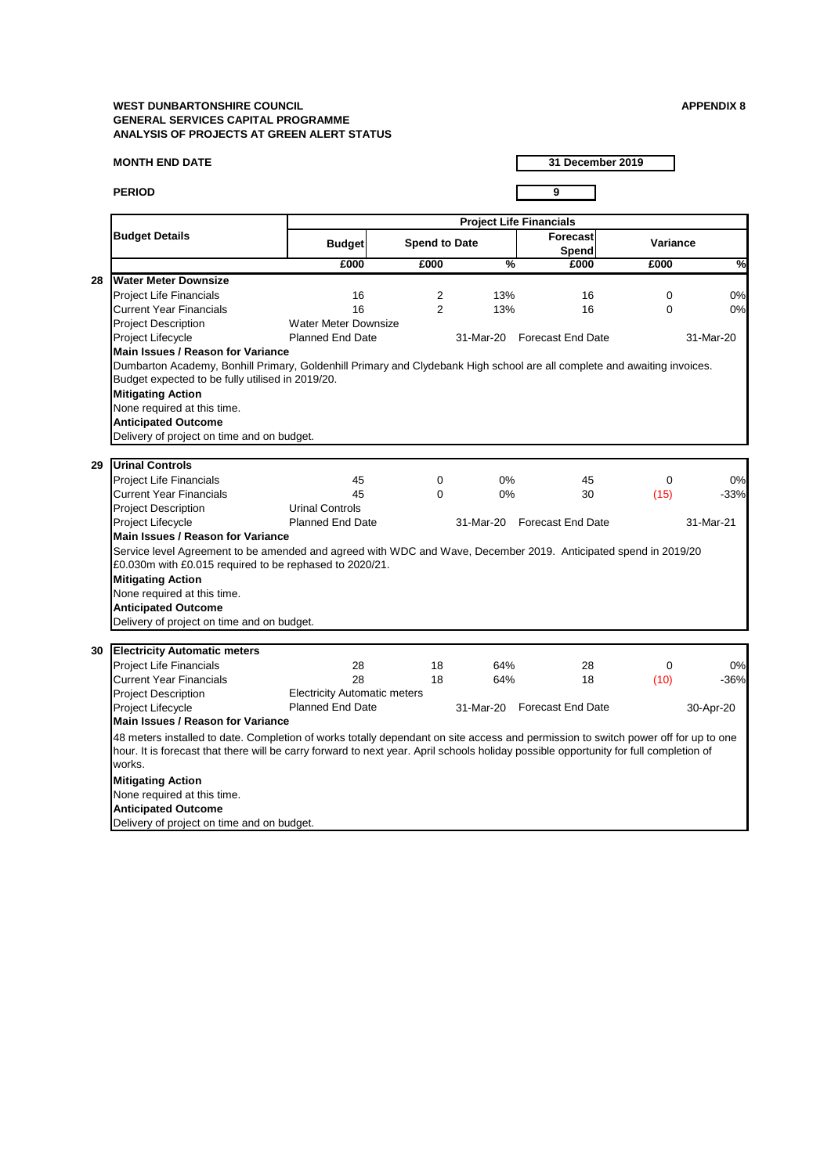#### **MONTH END DATE**

**PERIOD 9**

**31 December 2019**

|    |                                                                                                                                                                                                                                                                                                                     | <b>Project Life Financials</b>      |                |                      |                             |                 |               |  |  |
|----|---------------------------------------------------------------------------------------------------------------------------------------------------------------------------------------------------------------------------------------------------------------------------------------------------------------------|-------------------------------------|----------------|----------------------|-----------------------------|-----------------|---------------|--|--|
|    | <b>Budget Details</b>                                                                                                                                                                                                                                                                                               | <b>Budget</b>                       |                | <b>Spend to Date</b> | <b>Forecast</b><br>Spend    | <b>Variance</b> |               |  |  |
|    |                                                                                                                                                                                                                                                                                                                     | £000                                | £000           | $\frac{1}{2}$        | £000                        | £000            | $\frac{1}{2}$ |  |  |
| 28 | <b>Water Meter Downsize</b>                                                                                                                                                                                                                                                                                         |                                     |                |                      |                             |                 |               |  |  |
|    | <b>Project Life Financials</b>                                                                                                                                                                                                                                                                                      | 16                                  | 2              | 13%                  | 16                          | $\mathbf 0$     | 0%            |  |  |
|    | <b>Current Year Financials</b>                                                                                                                                                                                                                                                                                      | 16                                  | $\overline{2}$ | 13%                  | 16                          | $\overline{0}$  | 0%            |  |  |
|    | <b>Project Description</b>                                                                                                                                                                                                                                                                                          | <b>Water Meter Downsize</b>         |                |                      |                             |                 |               |  |  |
|    | <b>Project Lifecycle</b>                                                                                                                                                                                                                                                                                            | <b>Planned End Date</b>             |                |                      | 31-Mar-20 Forecast End Date |                 | 31-Mar-20     |  |  |
|    | Main Issues / Reason for Variance                                                                                                                                                                                                                                                                                   |                                     |                |                      |                             |                 |               |  |  |
|    | Dumbarton Academy, Bonhill Primary, Goldenhill Primary and Clydebank High school are all complete and awaiting invoices.<br>Budget expected to be fully utilised in 2019/20.<br><b>Mitigating Action</b><br>None required at this time.<br><b>Anticipated Outcome</b><br>Delivery of project on time and on budget. |                                     |                |                      |                             |                 |               |  |  |
| 29 | Urinal Controls                                                                                                                                                                                                                                                                                                     |                                     |                |                      |                             |                 |               |  |  |
|    |                                                                                                                                                                                                                                                                                                                     | 45                                  | $\overline{0}$ | $0\%$                | 45                          | $\mathbf 0$     | 0%            |  |  |
|    | <b>Project Life Financials</b><br><b>Current Year Financials</b>                                                                                                                                                                                                                                                    | 45                                  | $\Omega$       | $0\%$                | 30                          |                 | $-33%$        |  |  |
|    |                                                                                                                                                                                                                                                                                                                     | <b>Urinal Controls</b>              |                |                      |                             | (15)            |               |  |  |
|    | <b>Project Description</b>                                                                                                                                                                                                                                                                                          |                                     |                |                      |                             |                 |               |  |  |
|    | Project Lifecycle                                                                                                                                                                                                                                                                                                   | <b>Planned End Date</b>             |                |                      | 31-Mar-20 Forecast End Date |                 | 31-Mar-21     |  |  |
|    | Main Issues / Reason for Variance<br>Service level Agreement to be amended and agreed with WDC and Wave, December 2019. Anticipated spend in 2019/20                                                                                                                                                                |                                     |                |                      |                             |                 |               |  |  |
|    | £0.030m with £0.015 required to be rephased to 2020/21.                                                                                                                                                                                                                                                             |                                     |                |                      |                             |                 |               |  |  |
|    | <b>Mitigating Action</b>                                                                                                                                                                                                                                                                                            |                                     |                |                      |                             |                 |               |  |  |
|    |                                                                                                                                                                                                                                                                                                                     |                                     |                |                      |                             |                 |               |  |  |
|    | None required at this time.                                                                                                                                                                                                                                                                                         |                                     |                |                      |                             |                 |               |  |  |
|    | <b>Anticipated Outcome</b>                                                                                                                                                                                                                                                                                          |                                     |                |                      |                             |                 |               |  |  |
|    | Delivery of project on time and on budget.                                                                                                                                                                                                                                                                          |                                     |                |                      |                             |                 |               |  |  |
| 30 | <b>Electricity Automatic meters</b>                                                                                                                                                                                                                                                                                 |                                     |                |                      |                             |                 |               |  |  |
|    | <b>Project Life Financials</b>                                                                                                                                                                                                                                                                                      | 28                                  | 18             | 64%                  | 28                          | $\mathbf 0$     | 0%            |  |  |
|    | <b>Current Year Financials</b>                                                                                                                                                                                                                                                                                      | 28                                  | 18             | 64%                  | 18                          | (10)            | $-36%$        |  |  |
|    | <b>Project Description</b>                                                                                                                                                                                                                                                                                          | <b>Electricity Automatic meters</b> |                |                      |                             |                 |               |  |  |
|    | <b>Project Lifecycle</b>                                                                                                                                                                                                                                                                                            | <b>Planned End Date</b>             |                | 31-Mar-20            | <b>Forecast End Date</b>    |                 | 30-Apr-20     |  |  |
|    | <b>Main Issues / Reason for Variance</b>                                                                                                                                                                                                                                                                            |                                     |                |                      |                             |                 |               |  |  |
|    | 48 meters installed to date. Completion of works totally dependant on site access and permission to switch power off for up to one<br>hour. It is forecast that there will be carry forward to next year. April schools holiday possible opportunity for full completion of<br>works.                               |                                     |                |                      |                             |                 |               |  |  |
|    | <b>Mitigating Action</b>                                                                                                                                                                                                                                                                                            |                                     |                |                      |                             |                 |               |  |  |
|    | None required at this time.                                                                                                                                                                                                                                                                                         |                                     |                |                      |                             |                 |               |  |  |
|    | <b>Anticipated Outcome</b>                                                                                                                                                                                                                                                                                          |                                     |                |                      |                             |                 |               |  |  |
|    | Delivery of project on time and on budget.                                                                                                                                                                                                                                                                          |                                     |                |                      |                             |                 |               |  |  |

Delivery of project on time and on budget.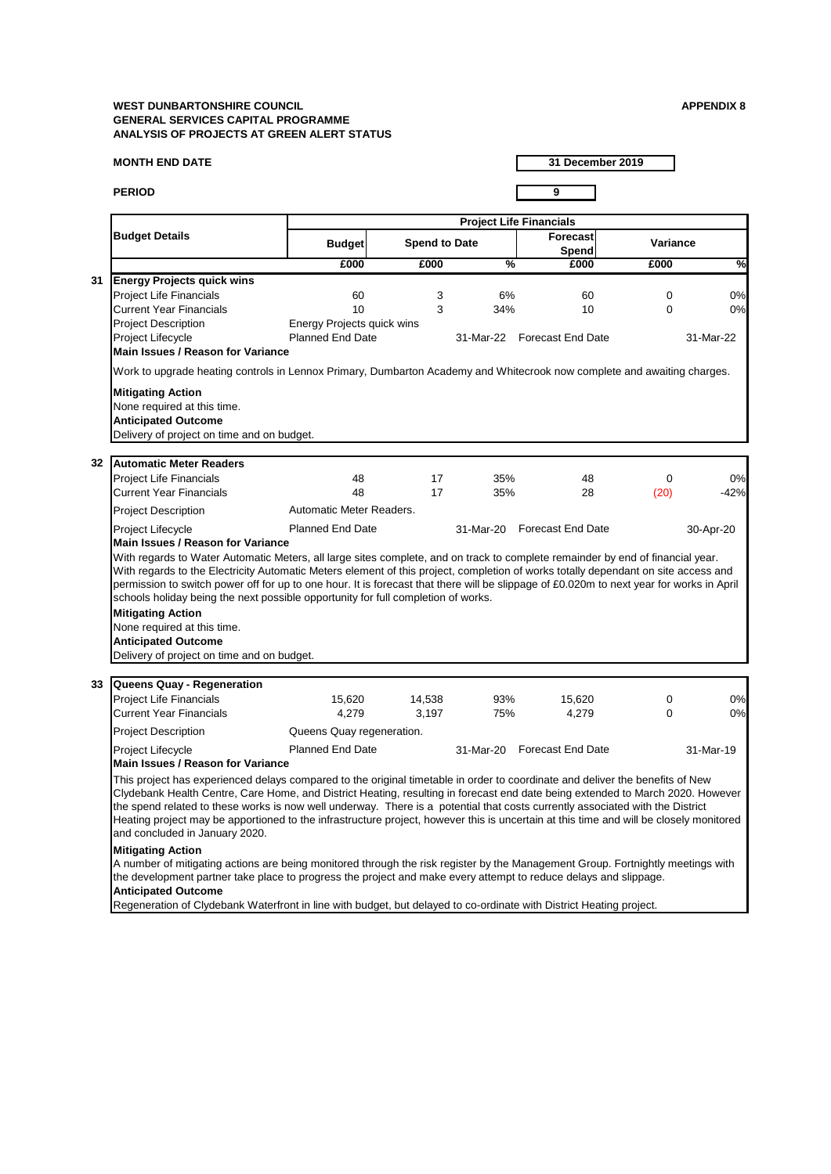#### **MONTH END DATE**

#### **PERIOD 9**

**31 December 2019**

# **Mitigating Action**

A number of mitigating actions are being monitored through the risk register by the Management Group. Fortnightly meetings with the development partner take place to progress the project and make every attempt to reduce delays and slippage. **Anticipated Outcome**

The spend related to these works is now well underway. There is a potential that costs currently associated with the District<br>Heating project may be apportioned to the infrastructure project, however this is uncertain at t and concluded in January 2020.

Regeneration of Clydebank Waterfront in line with budget, but delayed to co-ordinate with District Heating project.

| <b>Project Life Financials</b> |                                                                                                                                                                                                                                                                                                                                                                                                                                                                                                                                                                                                                                                                                          |                                   |                      |                          |                          |                 |               |
|--------------------------------|------------------------------------------------------------------------------------------------------------------------------------------------------------------------------------------------------------------------------------------------------------------------------------------------------------------------------------------------------------------------------------------------------------------------------------------------------------------------------------------------------------------------------------------------------------------------------------------------------------------------------------------------------------------------------------------|-----------------------------------|----------------------|--------------------------|--------------------------|-----------------|---------------|
|                                | <b>Budget Details</b>                                                                                                                                                                                                                                                                                                                                                                                                                                                                                                                                                                                                                                                                    | <b>Budget</b>                     | <b>Spend to Date</b> |                          | <b>Forecast</b><br>Spend | <b>Variance</b> |               |
|                                |                                                                                                                                                                                                                                                                                                                                                                                                                                                                                                                                                                                                                                                                                          | £000                              | £000                 | $\overline{\frac{9}{6}}$ | £000                     | £000            | $\frac{1}{2}$ |
| 31                             | <b>Energy Projects quick wins</b>                                                                                                                                                                                                                                                                                                                                                                                                                                                                                                                                                                                                                                                        |                                   |                      |                          |                          |                 |               |
|                                | <b>Project Life Financials</b>                                                                                                                                                                                                                                                                                                                                                                                                                                                                                                                                                                                                                                                           | 60                                | 3                    | 6%                       | 60                       | $\overline{0}$  | 0%            |
|                                | <b>Current Year Financials</b>                                                                                                                                                                                                                                                                                                                                                                                                                                                                                                                                                                                                                                                           | 10                                | 3                    | 34%                      | 10                       | $\mathbf 0$     | 0%            |
|                                | <b>Project Description</b>                                                                                                                                                                                                                                                                                                                                                                                                                                                                                                                                                                                                                                                               | <b>Energy Projects quick wins</b> |                      |                          |                          |                 |               |
|                                | Project Lifecycle                                                                                                                                                                                                                                                                                                                                                                                                                                                                                                                                                                                                                                                                        | <b>Planned End Date</b>           |                      | 31-Mar-22                | <b>Forecast End Date</b> |                 | 31-Mar-22     |
|                                | <b>Main Issues / Reason for Variance</b>                                                                                                                                                                                                                                                                                                                                                                                                                                                                                                                                                                                                                                                 |                                   |                      |                          |                          |                 |               |
|                                | Work to upgrade heating controls in Lennox Primary, Dumbarton Academy and Whitecrook now complete and awaiting charges.                                                                                                                                                                                                                                                                                                                                                                                                                                                                                                                                                                  |                                   |                      |                          |                          |                 |               |
|                                | <b>Mitigating Action</b><br>None required at this time.<br><b>Anticipated Outcome</b><br>Delivery of project on time and on budget.                                                                                                                                                                                                                                                                                                                                                                                                                                                                                                                                                      |                                   |                      |                          |                          |                 |               |
| 32                             | Automatic Meter Readers                                                                                                                                                                                                                                                                                                                                                                                                                                                                                                                                                                                                                                                                  |                                   |                      |                          |                          |                 |               |
|                                | <b>Project Life Financials</b>                                                                                                                                                                                                                                                                                                                                                                                                                                                                                                                                                                                                                                                           | 48                                | 17                   | 35%                      | 48                       | $\overline{0}$  | 0%            |
|                                | <b>Current Year Financials</b>                                                                                                                                                                                                                                                                                                                                                                                                                                                                                                                                                                                                                                                           | 48                                | 17                   | 35%                      | 28                       | (20)            | $-42%$        |
|                                |                                                                                                                                                                                                                                                                                                                                                                                                                                                                                                                                                                                                                                                                                          |                                   |                      |                          |                          |                 |               |
|                                | <b>Project Description</b>                                                                                                                                                                                                                                                                                                                                                                                                                                                                                                                                                                                                                                                               | Automatic Meter Readers.          |                      |                          |                          |                 |               |
|                                | Project Lifecycle                                                                                                                                                                                                                                                                                                                                                                                                                                                                                                                                                                                                                                                                        | <b>Planned End Date</b>           |                      | 31-Mar-20                | <b>Forecast End Date</b> |                 | 30-Apr-20     |
|                                | <b>Main Issues / Reason for Variance</b><br>With regards to Water Automatic Meters, all large sites complete, and on track to complete remainder by end of financial year.<br>With regards to the Electricity Automatic Meters element of this project, completion of works totally dependant on site access and<br>permission to switch power off for up to one hour. It is forecast that there will be slippage of £0.020m to next year for works in April<br>schools holiday being the next possible opportunity for full completion of works.<br><b>Mitigating Action</b><br>None required at this time.<br><b>Anticipated Outcome</b><br>Delivery of project on time and on budget. |                                   |                      |                          |                          |                 |               |
| 33                             | Queens Quay - Regeneration                                                                                                                                                                                                                                                                                                                                                                                                                                                                                                                                                                                                                                                               |                                   |                      |                          |                          |                 |               |
|                                | <b>Project Life Financials</b>                                                                                                                                                                                                                                                                                                                                                                                                                                                                                                                                                                                                                                                           | 15,620                            | 14,538               | 93%                      | 15,620                   | 0               | 0%            |
|                                | <b>Current Year Financials</b>                                                                                                                                                                                                                                                                                                                                                                                                                                                                                                                                                                                                                                                           | 4,279                             | 3,197                | 75%                      | 4,279                    | 0               | 0%            |
|                                | <b>Project Description</b>                                                                                                                                                                                                                                                                                                                                                                                                                                                                                                                                                                                                                                                               | Queens Quay regeneration.         |                      |                          |                          |                 |               |
|                                | Project Lifecycle<br><b>Main Issues / Reason for Variance</b>                                                                                                                                                                                                                                                                                                                                                                                                                                                                                                                                                                                                                            | <b>Planned End Date</b>           |                      | 31-Mar-20                | <b>Forecast End Date</b> |                 | 31-Mar-19     |
|                                | This project has experienced delays compared to the original timetable in order to coordinate and deliver the benefits of New<br>Clydebank Health Centre, Care Home, and District Heating, resulting in forecast end date being extended to March 2020. However<br>the spend related to these works is now well underway. There is a potential that costs currently associated with the District                                                                                                                                                                                                                                                                                         |                                   |                      |                          |                          |                 |               |